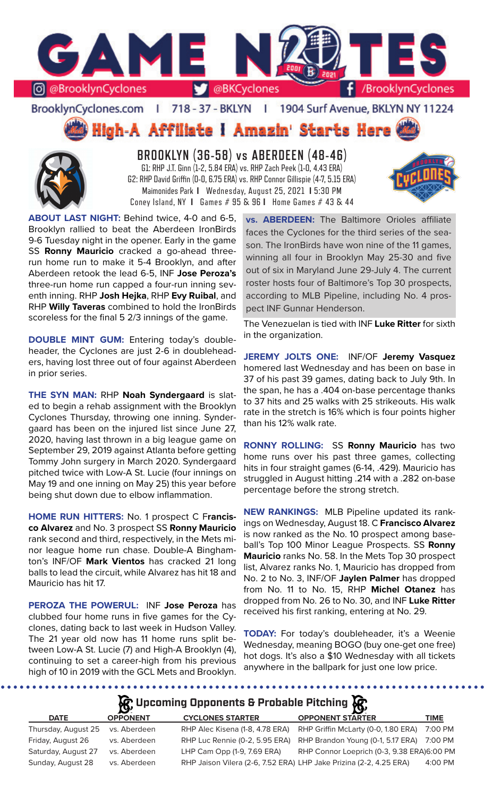

BrooklynCyclones.com | 718 - 37 - BKLYN | 1904 Surf Avenue, BKLYN NY 11224

**High-A Affiliate I Amazin' Starts Here** 



**BROOKLYN (36-58) vs ABERDEEN (48-46)** G1: RHP J.T. Ginn (1-2, 5.84 ERA) vs. RHP Zach Peek (1-0, 4.43 ERA) G2: RHP David Griffin (0-0, 6.75 ERA) vs. RHP Connor Gillispie (4-7, 5.15 ERA) Maimonides Park **I** Wednesday, August 25, 2021 **I** 5:30 PM Coney Island, NY **I** Games # 95 & 96 **I** Home Games # 43 & 44



**ABOUT LAST NIGHT:** Behind twice, 4-0 and 6-5, Brooklyn rallied to beat the Aberdeen IronBirds 9-6 Tuesday night in the opener. Early in the game SS **Ronny Mauricio** cracked a go-ahead threerun home run to make it 5-4 Brooklyn, and after Aberdeen retook the lead 6-5, INF **Jose Peroza's**  three-run home run capped a four-run inning seventh inning. RHP **Josh Hejka**, RHP **Evy Ruibal**, and RHP **Willy Taveras** combined to hold the IronBirds scoreless for the final 5 2/3 innings of the game.

**DOUBLE MINT GUM:** Entering today's doubleheader, the Cyclones are just 2-6 in doubleheaders, having lost three out of four against Aberdeen in prior series.

**THE SYN MAN:** RHP **Noah Syndergaard** is slated to begin a rehab assignment with the Brooklyn Cyclones Thursday, throwing one inning. Syndergaard has been on the injured list since June 27, 2020, having last thrown in a big league game on September 29, 2019 against Atlanta before getting Tommy John surgery in March 2020. Syndergaard pitched twice with Low-A St. Lucie (four innings on May 19 and one inning on May 25) this year before being shut down due to elbow inflammation.

**HOME RUN HITTERS:** No. 1 prospect C F**rancisco Alvarez** and No. 3 prospect SS **Ronny Mauricio**  rank second and third, respectively, in the Mets minor league home run chase. Double-A Binghamton's INF/OF **Mark Vientos** has cracked 21 long balls to lead the circuit, while Alvarez has hit 18 and Mauricio has hit 17.

**PEROZA THE POWERUL:** INF **Jose Peroza** has clubbed four home runs in five games for the Cyclones, dating back to last week in Hudson Valley. The 21 year old now has 11 home runs split between Low-A St. Lucie (7) and High-A Brooklyn (4), continuing to set a career-high from his previous high of 10 in 2019 with the GCL Mets and Brooklyn.

**vs. ABERDEEN:** The Baltimore Orioles affiliate faces the Cyclones for the third series of the season. The IronBirds have won nine of the 11 games, winning all four in Brooklyn May 25-30 and five out of six in Maryland June 29-July 4. The current roster hosts four of Baltimore's Top 30 prospects, according to MLB Pipeline, including No. 4 prospect INF Gunnar Henderson.

The Venezuelan is tied with INF **Luke Ritter** for sixth in the organization.

**JEREMY JOLTS ONE:** INF/OF **Jeremy Vasquez**  homered last Wednesday and has been on base in 37 of his past 39 games, dating back to July 9th. In the span, he has a .404 on-base percentage thanks to 37 hits and 25 walks with 25 strikeouts. His walk rate in the stretch is 16% which is four points higher than his 12% walk rate.

**RONNY ROLLING:** SS **Ronny Mauricio** has two home runs over his past three games, collecting hits in four straight games (6-14, .429). Mauricio has struggled in August hitting .214 with a .282 on-base percentage before the strong stretch.

**NEW RANKINGS:** MLB Pipeline updated its rankings on Wednesday, August 18. C **Francisco Alvarez**  is now ranked as the No. 10 prospect among baseball's Top 100 Minor League Prospects. SS **Ronny Mauricio** ranks No. 58. In the Mets Top 30 prospect list, Alvarez ranks No. 1, Mauricio has dropped from No. 2 to No. 3, INF/OF **Jaylen Palmer** has dropped from No. 11 to No. 15, RHP **Michel Otanez** has dropped from No. 26 to No. 30, and INF **Luke Ritter** received his first ranking, entering at No. 29.

**TODAY:** For today's doubleheader, it's a Weenie Wednesday, meaning BOGO (buy one-get one free) hot dogs. It's also a \$10 Wednesday with all tickets anywhere in the ballpark for just one low price.

**A**: Upcoming Opponents & Probable Pitching  $\mathbb{R}$ 

|                     | $\mathbf{v}$    |                                 | - <b>17</b>                                                        |             |
|---------------------|-----------------|---------------------------------|--------------------------------------------------------------------|-------------|
| <b>DATE</b>         | <b>OPPONENT</b> | <b>CYCLONES STARTER</b>         | <b>OPPONENT STARTER</b>                                            | <b>TIME</b> |
| Thursday, August 25 | vs. Aberdeen    | RHP Alec Kisena (1-8, 4.78 ERA) | RHP Griffin McLarty (0-0, 1.80 ERA)                                | 7:00 PM     |
| Friday, August 26   | vs. Aberdeen    | RHP Luc Rennie (0-2, 5.95 ERA)  | RHP Brandon Young (0-1, 5.17 ERA)                                  | 7:00 PM     |
| Saturday, August 27 | vs. Aberdeen    | LHP Cam Opp (1-9, 7.69 ERA)     | RHP Connor Loeprich (0-3, 9.38 ERA)6:00 PM                         |             |
| Sunday, August 28   | vs. Aberdeen    |                                 | RHP Jaison Vilera (2-6, 7.52 ERA) LHP Jake Prizina (2-2, 4.25 ERA) | $4:00$ PM   |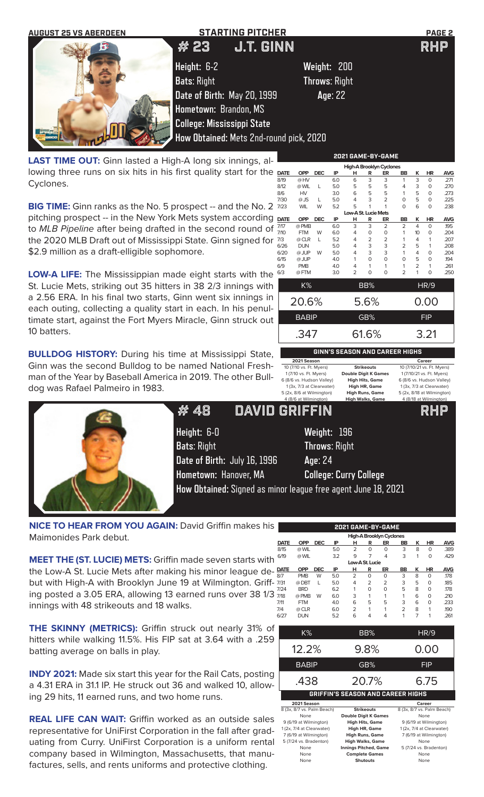

**LOW-A LIFE:** The Mississippian made eight starts with the St. Lucie Mets, striking out 35 hitters in 38 2/3 innings with a 2.56 ERA. In his final two starts, Ginn went six innings in each outing, collecting a quality start in each. In his penultimate start, against the Fort Myers Miracle, Ginn struck out 10 batters.

\$2.9 million as a draft-elligible sophomore.

**BULLDOG HISTORY:** During his time at Mississippi State, Ginn was the second Bulldog to be named National Freshman of the Year by Baseball America in 2019. The other Bulldog was Rafael Palmeiro in 1983.



**Height:** 6-0 **Weight:** 196 **Bats**: Right **Throws**: Right **Date of Birth:** July 16, 1996 **Age**: 24 **Hometown:** Hanover, MA **College: Curry College**

|             |              |            |                                       |                      |                | <b>High-A Brooklyn Cyclones</b> |                |                |             |            |
|-------------|--------------|------------|---------------------------------------|----------------------|----------------|---------------------------------|----------------|----------------|-------------|------------|
| <b>DATE</b> | OPP          | <b>DEC</b> | IP                                    | н                    | R              | ER                              | <b>BB</b>      | к              | ΗR          | <b>AVG</b> |
| 8/19        | @ HV         |            | 6.0                                   | 6                    | 3              | 3                               | 1              | 3              | $\Omega$    | .271       |
| 8/12        | @ WIL        | L          | 5.0                                   | 5                    | 5              | 5                               | 4              | 3              | $\Omega$    | .270       |
| 8/6         | <b>HV</b>    |            | 3.0                                   | 6                    | 5              | 5                               | 1              | 5              | $\Omega$    | .273       |
| 7/30        | $@$ JS       | L          | 5.0                                   | 4                    | 3              | $\overline{2}$                  | 0              | 5              | $\Omega$    | .225       |
| 7/23        | <b>WIL</b>   | W          | 5.2                                   | 5                    | 1              | 1                               | 0              | 6              | $\Omega$    | .238       |
|             |              |            |                                       | Low-A St. Lucie Mets |                |                                 |                |                |             |            |
| <b>DATE</b> | <b>OPP</b>   | <b>DEC</b> | IP                                    | н                    | R              | ER                              | <b>BB</b>      | K              | <b>HR</b>   | <b>AVG</b> |
| 7/17        | @ PMB        |            | 6.0                                   | 3                    | 3              | $\overline{2}$                  | $\overline{2}$ | 4              | $\Omega$    | 195        |
| 7/10        | <b>FTM</b>   | W          | 6.0                                   | 4                    | 0              | 0                               | 1              | 10             | 0           | .204       |
| 7/3         | @ CLR        | L          | 5.2                                   | 4                    | $\overline{2}$ | 2                               | 1              | 4              | 1           | .207       |
| 6/26        | <b>DUN</b>   |            | 5.0                                   | 4                    | 3              | 3                               | $\overline{2}$ | 5              | 1           | .208       |
| 6/20        | @ JUP        | W          | 5.0                                   | 4                    | 3              | 3                               | 1              | 4              | $\Omega$    | .204       |
| 6/15        | @ JUP        |            | 4.0                                   | 1                    | $\Omega$       | $\Omega$                        | 0              | 5              | $\Omega$    | 194        |
| 6/9         | <b>PMB</b>   |            | 4.0                                   | 4                    | 1              | 1                               | 1              | $\overline{2}$ | 1           | .261       |
| 6/3         | @ FTM        |            | 3.0                                   | $\overline{2}$       | 0              | $\Omega$                        | $\overline{2}$ | 1              | 0           | .250       |
|             | K%           |            |                                       |                      | BB%            |                                 |                |                | <b>HR/9</b> |            |
|             |              |            |                                       |                      |                |                                 |                |                |             |            |
|             | 20.6%        |            |                                       |                      | 5.6%           |                                 |                |                | 0.00        |            |
|             | <b>BABIP</b> |            |                                       |                      | GB%            |                                 |                |                | <b>FIP</b>  |            |
|             | .347         |            |                                       |                      | 61.6%          |                                 |                |                | 3.21        |            |
|             |              |            |                                       |                      |                |                                 |                |                |             |            |
|             |              |            | <b>GINN'S SEASON AND CAREER HIGHS</b> |                      |                |                                 |                |                |             |            |
|             | 2021 Season  |            |                                       |                      |                |                                 |                |                | Career      |            |

1 1 1 (7/10 vs. Ft. Myers) **Double Digit K Games**<br>1 (7/10 vs. Ft. Myers) **Double Digit K Games**<br>6 (8/6 vs. Hudson Valley) **High Hits, Game** 5 (2x, 8/6 at Wilmington) **High Runs, Game** 5 (2x, 8/18 at Wilmington)

10 (7/10 vs. Ft. Myers) **Strikeouts** 10 (7/10/21 vs. Ft. Myers) 6 (8/6 vs. Hudson Valley) **High Hits, Game** 6 (8/6 vs. Hudson Valley) 1 (3x, 7/3 at Clearwater) **High HR, Game** 1 (3x, 7/3 at Clearwater)

High Walks, Game 4 (8/18 at \

6 (2x, 7/17 at Palm Beach) **Innings Pitched, Game** 6 (2x, 7/17 at Palm Beach) # 48 DAVID GRIFFIN RHP

**How Obtained:** Signed as minor league free agent June 18, 2021

**NICE TO HEAR FROM YOU AGAIN:** David Griffin makes his Maimonides Park debut.

**MEET THE (ST. LUCIE) METS:** Griffin made seven starts with the Low-A St. Lucie Mets after making his minor league debut with High-A with Brooklyn June 19 at Wilmington. Griffing posted a 3.05 ERA, allowing 13 earned runs over 38 1/3 innings with 48 strikeouts and 18 walks.

**THE SKINNY (METRICS):** Griffin struck out nearly 31% of hitters while walking 11.5%. His FIP sat at 3.64 with a .259 batting average on balls in play.

**INDY 2021:** Made six start this year for the Rail Cats, posting a 4.31 ERA in 31.1 IP. He struck out 36 and walked 10, allowing 29 hits, 11 earned runs, and two home runs.

**REAL LIFE CAN WAIT:** Griffin worked as an outside sales representative for UniFirst Corporation in the fall after graduating from Curry. UniFirst Corporation is a uniform rental company based in Wilmington, Massachusetts, that manufactures, sells, and rents uniforms and protective clothing.

|      | 2021 GAME-BY-GAME |            |            |     |                 |                |                                 |                |   |          |            |  |  |
|------|-------------------|------------|------------|-----|-----------------|----------------|---------------------------------|----------------|---|----------|------------|--|--|
|      |                   |            |            |     |                 |                | <b>High-A Brooklyn Cyclones</b> |                |   |          |            |  |  |
|      | <b>DATE</b>       | <b>OPP</b> | <b>DEC</b> | ΙP  | н               | R              | ER                              | BB             | ĸ | ΗR       | <b>AVG</b> |  |  |
|      | 8/15              | @ WIL      |            | 5.0 | $\overline{2}$  | $\Omega$       | $\Omega$                        | 3              | 8 | 0        | .389       |  |  |
|      | 6/19              | @ WIL      |            | 3.2 | 9               | 7              | 4                               | 3              | 1 | 0        | .429       |  |  |
|      |                   |            |            |     | Low-A St. Lucie |                |                                 |                |   |          |            |  |  |
|      | <b>DATE</b>       | <b>OPP</b> | <b>DEC</b> | IP  | н               | R              | ER                              | BB             | ĸ | ΗR       | <b>AVG</b> |  |  |
|      | 8/7               | <b>PMB</b> | W          | 5.0 | $\overline{2}$  | $\Omega$       | 0                               | 3              | 8 | 0        | .178       |  |  |
| 7/31 |                   | @DBT       | L          | 5.0 | 4               | $\overline{2}$ | $\overline{2}$                  | 3              | 5 | $\Omega$ | .185       |  |  |
|      | 7/24              | <b>BRD</b> |            | 6.2 | 1               | $\Omega$       | 0                               | 5              | 8 | 0        | .178       |  |  |
|      | 7/18              | @ PMB      | W          | 6.0 | 3               | 1              | 1                               | 1              | 6 | 0        | .210       |  |  |
|      | 7/11              | <b>FTM</b> |            | 4.0 | 6               | 5              | 5                               | 3              | 6 | 0        | .233       |  |  |
|      | 7/4               | @ CLR      |            | 6.0 | $\overline{2}$  | 1              | 1                               | $\overline{2}$ | 8 | 1        | .190       |  |  |
|      | 6/27              | <b>DUN</b> |            | 5.2 | 6               | 4              | 4                               | 1              | 7 | 1        | .261       |  |  |
|      |                   |            |            |     |                 |                |                                 |                |   |          |            |  |  |
|      |                   |            |            |     |                 |                |                                 |                |   |          |            |  |  |

| K%                         | BB%                                      | <b>HR/9</b>                |
|----------------------------|------------------------------------------|----------------------------|
| 12.2%                      | $9.8\%$                                  | 0.00                       |
| <b>BABIP</b>               | GB%                                      | <b>FIP</b>                 |
| .438                       | 20.7%                                    | 6.75                       |
|                            |                                          |                            |
|                            | <b>GRIFFIN'S SEASON AND CAREER HIGHS</b> |                            |
| 2021 Season                |                                          | Career                     |
| 8 (3x, 8/7 vs. Palm Beach) | <b>Strikeouts</b>                        | 8 (3x, 8/7 vs. Palm Beach) |
| None                       | <b>Double Digit K Games</b>              | None                       |
| 9 (6/19 at Wilmington)     | <b>High Hits, Game</b>                   | 9 (6/19 at Wilmington)     |
| 1 (2x, 7/4 at Clearwater)  | High HR, Game                            | 1 (2x, 7/4 at Clearwater)  |
| 7 (6/19 at Wilmington)     | <b>High Runs, Game</b>                   | 7 (6/19 at Wilmington)     |

5 (7/24 vs. Bradenton) **High Walks, Game** None

None **Complete Games** None None **Shutouts** None

**None Innings Pitched, Game**<br> **None Complete Games**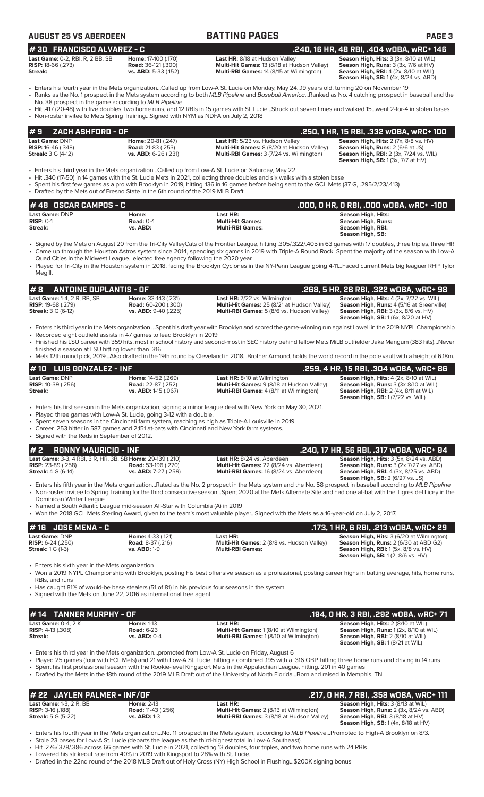| #30 FRANCISCO ALVAREZ - C<br>Last Game: 0-2, RBI, R, 2 BB, SB<br><b>RISP: 18-66 (.273)</b>                           | Home: 17-100 (.170)<br>Road: 36-121 (.300)                                                                                                                             | Last HR: 8/18 at Hudson Valley<br>Multi-Hit Games: 13 (8/18 at Hudson Valley)                                                                                                                                                                                                                                                                                                                                                                                                                                                            | .240, 16 HR, 48 RBI, .404 w0BA, wRC+ 146<br>Season High, Hits: 3 (3x, 8/10 at WIL)<br>Season High, Runs: 3 (3x, 7/6 at HV)                                                    |
|----------------------------------------------------------------------------------------------------------------------|------------------------------------------------------------------------------------------------------------------------------------------------------------------------|------------------------------------------------------------------------------------------------------------------------------------------------------------------------------------------------------------------------------------------------------------------------------------------------------------------------------------------------------------------------------------------------------------------------------------------------------------------------------------------------------------------------------------------|-------------------------------------------------------------------------------------------------------------------------------------------------------------------------------|
| Streak:                                                                                                              | vs. ABD: 5-33 (.152)                                                                                                                                                   | Multi-RBI Games: 14 (8/15 at Wilmington)                                                                                                                                                                                                                                                                                                                                                                                                                                                                                                 | Season High, RBI: 4 (2x, 8/10 at WIL)<br><b>Season High, SB:</b> 1 (4x, 8/24 vs. ABD)                                                                                         |
| No. 38 prospect in the game according to MLB Pipeline                                                                |                                                                                                                                                                        | • Enters his fourth year in the Mets organizationCalled up from Low-A St. Lucie on Monday, May 2419 years old, turning 20 on November 19<br>• Ranks as the No. 1 prospect in the Mets system according to both MLB Pipeline and Baseball AmericaRanked as No. 4 catching prospect in baseball and the<br>· Hit .417 (20-48) with five doubles, two home runs, and 12 RBIs in 15 games with St. LucieStruck out seven times and walked 15went 2-for-4 in stolen bases                                                                     |                                                                                                                                                                               |
|                                                                                                                      | • Non-roster invitee to Mets Spring TrainingSigned with NYM as NDFA on July 2, 2018                                                                                    |                                                                                                                                                                                                                                                                                                                                                                                                                                                                                                                                          |                                                                                                                                                                               |
| #9<br>ZACH ASHFORD - OF                                                                                              |                                                                                                                                                                        |                                                                                                                                                                                                                                                                                                                                                                                                                                                                                                                                          | .250, 1 HR, 15 RBI, .332 wOBA, wRC+ 100                                                                                                                                       |
| Last Game: DNP<br>RISP: 16-46 (.348)<br><b>Streak:</b> 3 G (4-12)                                                    | Home: 20-81 (.247)<br><b>Road: 21-83 (.253)</b><br>vs. ABD: 6-26 (.231)                                                                                                | Last HR: 5/23 vs. Hudson Valley<br>Multi-Hit Games: 8 (8/20 at Hudson Valley)<br>Multi-RBI Games: 3 (7/24 vs. Wilmington)                                                                                                                                                                                                                                                                                                                                                                                                                | Season High, Hits: 2 (7x, 8/8 vs. HV)<br>Season High, Runs: 2 (6/6 at JS)<br><b>Season High, RBI: 2 (3x, 7/24 vs. WIL)</b><br><b>Season High, SB:</b> 1 (3x, 7/7 at HV)       |
|                                                                                                                      | • Drafted by the Mets out of Fresno State in the 6th round of the 2019 MLB Draft                                                                                       | · Enters his third year in the Mets organizationCalled up from Low-A St. Lucie on Saturday, May 22<br>• Hit .340 (17-50) in 14 games with the St. Lucie Mets in 2021, collecting three doubles and six walks with a stolen base<br>• Spent his first few games as a pro with Brooklyn in 2019, hitting .136 in 16 games before being sent to the GCL Mets (37 G, .295/2/23/.413)                                                                                                                                                         |                                                                                                                                                                               |
| #48 OSCAR CAMPOS - C<br>Last Game: DNP                                                                               | Home:                                                                                                                                                                  | Last HR:                                                                                                                                                                                                                                                                                                                                                                                                                                                                                                                                 | .000, 0 HR, 0 RBI, .000 w0BA, wRC+ -100<br><b>Season High, Hits:</b>                                                                                                          |
| <b>RISP: 0-1</b><br>Streak:                                                                                          | <b>Road: 0-4</b><br>vs. ABD:                                                                                                                                           | <b>Multi-Hit Games:</b><br><b>Multi-RBI Games:</b>                                                                                                                                                                                                                                                                                                                                                                                                                                                                                       | <b>Season High, Runs:</b><br>Season High, RBI:<br>Season High, SB:                                                                                                            |
| Megill.                                                                                                              | Quad Cities in the Midwest Leagueelected free agency following the 2020 year.                                                                                          | · Signed by the Mets on August 20 from the Tri-City ValleyCats of the Frontier League, hitting .305/.322/.405 in 63 games with 17 doubles, three triples, three HR<br>• Came up through the Houston Astros system since 2014, spending six games in 2019 with Triple-A Round Rock. Spent the majority of the season with Low-A<br>• Played for Tri-City in the Houston system in 2018, facing the Brooklyn Cyclones in the NY-Penn League going 4-11Faced current Mets big leaguer RHP Tylor                                             |                                                                                                                                                                               |
| #B<br><b>ANTOINE DUPLANTIS - OF</b>                                                                                  |                                                                                                                                                                        |                                                                                                                                                                                                                                                                                                                                                                                                                                                                                                                                          | .268, 5 HR, 28 RBI, .322 wOBA, wRC+ 98                                                                                                                                        |
| Last Game: 1-4, 2 R, BB, SB<br><b>RISP:</b> 19-68 (.279)<br><b>Streak: 3 G (6-12)</b>                                | Home: 33-143 (.231)<br><b>Road: 60-200 (.300)</b><br>vs. ABD: 9-40 (.225)                                                                                              | Last HR: 7/22 vs. Wilmington<br>Multi-Hit Games: 25 (8/21 at Hudson Valley)<br>Multi-RBI Games: 5 (8/6 vs. Hudson Valley)                                                                                                                                                                                                                                                                                                                                                                                                                | Season High, Hits: 4 (2x, 7/22 vs. WIL)<br>Season High, Runs: 4 (5/16 at Greenville)<br>Season High, RBI: 3 (3x, 8/6 vs. HV)<br><b>Season High, SB:</b> 1 (6x, 8/20 at HV)    |
| finished a season at LSU hitting lower than .316                                                                     | • Recorded eight outfield assists in 47 games to lead Brooklyn in 2019                                                                                                 | • Enters his third year in the Mets organization Spent his draft year with Brooklyn and scored the game-winning run against Lowell in the 2019 NYPL Championship<br>• Finished his LSU career with 359 hits, most in school history and second-most in SEC history behind fellow Mets MiLB outfielder Jake Mangum (383 hits)Never                                                                                                                                                                                                        |                                                                                                                                                                               |
|                                                                                                                      |                                                                                                                                                                        | • Mets 12th round pick, 2019Also drafted in the 19th round by Cleveland in 2018Brother Armond, holds the world record in the pole vault with a height of 6.18m.                                                                                                                                                                                                                                                                                                                                                                          |                                                                                                                                                                               |
| <b>LUIS GONZALEZ - INF</b><br># 10                                                                                   |                                                                                                                                                                        |                                                                                                                                                                                                                                                                                                                                                                                                                                                                                                                                          | .259, 4 HR, 15 RBI, .304 wOBA, wRC+ 86                                                                                                                                        |
| Last Game: DNP<br><b>RISP:</b> 10-39 (.256)<br>Streak:                                                               | Home: 14-52 (.269)<br><b>Road:</b> 22-87 (.252)<br>vs. ABD: 1-15 (.067)                                                                                                | <b>Last HR: 8/10 at Wilmington</b><br>Multi-Hit Games: 9 (8/18 at Hudson Valley)<br>Multi-RBI Games: 4 (8/11 at Wilmington)                                                                                                                                                                                                                                                                                                                                                                                                              | Season High, Hits: 4 (2x, 8/10 at WIL)<br>Season High, Runs: 3 (3x 8/10 at WIL)<br>Season High, RBI: 2 (4x, 8/11 at WIL)<br><b>Season High, SB: 1 (7/22 vs. WIL)</b>          |
| • Signed with the Reds in September of 2012.                                                                         | • Played three games with Low-A St. Lucie, going 3-12 with a double.<br>• Career .253 hitter in 587 games and 2,151 at-bats with Cincinnati and New York farm systems. | • Enters his first season in the Mets organization, signing a minor league deal with New York on May 30, 2021.<br>• Spent seven seasons in the Cincinnati farm system, reaching as high as Triple-A Louisville in 2019.                                                                                                                                                                                                                                                                                                                  |                                                                                                                                                                               |
| <b>RONNY MAURICIO - INF</b><br>#2                                                                                    |                                                                                                                                                                        |                                                                                                                                                                                                                                                                                                                                                                                                                                                                                                                                          | .240, 17 HR, 56 RBI, .317 WOBA, WRC+ 94                                                                                                                                       |
| Last Game: 3-3, 4 RBI, 3 R, HR, 3B, SB Home: 29-139 (.210)<br><b>RISP:</b> 23-89 (.258)<br><b>Streak:</b> 4 G (6-14) | <b>Road: 53-196 (.270)</b><br>vs. ABD: 7-27 (.259)                                                                                                                     | Last HR: 8/24 vs. Aberdeen<br>Multi-Hit Games: 22 (8/24 vs. Aberdeen)<br>Multi-RBI Games: 16 (8/24 vs. Aberdeen)                                                                                                                                                                                                                                                                                                                                                                                                                         | Season High, Hits: 3 (5x, 8/24 vs. ABD)<br>Season High, Runs: 3 (2x 7/27 vs. ABD)<br><b>Season High, RBI:</b> 4 (3x, 8/25 vs. ABD)<br><b>Season High, SB: 2 (6/27 vs. JS)</b> |
| Dominican Winter League                                                                                              | • Named a South Atlantic League mid-season All-Star with Columbia (A) in 2019                                                                                          | • Enters his fifth year in the Mets organizationRated as the No. 2 prospect in the Mets system and the No. 58 prospect in baseball according to MLB Pipeline<br>• Non-roster invitee to Spring Training for the third consecutive seasonSpent 2020 at the Mets Alternate Site and had one at-bat with the Tigres del Licey in the<br>• Won the 2018 GCL Mets Sterling Award, given to the team's most valuable playerSigned with the Mets as a 16-year-old on July 2, 2017.                                                              |                                                                                                                                                                               |
| <b>JOSE MENA - C</b><br># 16                                                                                         |                                                                                                                                                                        |                                                                                                                                                                                                                                                                                                                                                                                                                                                                                                                                          | .173, 1 HR, 6 RBI, .213 WOBA, WRC+ 29                                                                                                                                         |
| Last Game: DNP<br><b>RISP:</b> $6-24$ (.250)<br><b>Streak:</b> 1 G (1-3)                                             | Home: 4-33 (.121)<br><b>Road: 8-37 (.216)</b><br><b>vs. ABD: 1-9</b>                                                                                                   | Last HR:<br>Multi-Hit Games: 2 (8/8 vs. Hudson Valley)<br><b>Multi-RBI Games:</b>                                                                                                                                                                                                                                                                                                                                                                                                                                                        | Season High, Hits: 3 (6/20 at Wilmington)<br>Season High, Runs: 2 (6/30 at ABD G2)<br>Season High, RBI: 1 (5x, 8/8 vs. HV)<br>Season High, SB: 1 (2, 8/6 vs. HV)              |
| • Enters his sixth year in the Mets organization<br>RBIs, and runs                                                   |                                                                                                                                                                        | • Won a 2019 NYPL Championship with Brooklyn, posting his best offensive season as a professional, posting career highs in batting average, hits, home runs,                                                                                                                                                                                                                                                                                                                                                                             |                                                                                                                                                                               |
|                                                                                                                      | • Signed with the Mets on June 22, 2016 as international free agent.                                                                                                   | • Has caught 81% of would-be base stealers (51 of 81) in his previous four seasons in the system.                                                                                                                                                                                                                                                                                                                                                                                                                                        |                                                                                                                                                                               |
| <b>TANNER MURPHY - OF</b><br># 14<br><b>Last Game: 0-4, 2 K</b>                                                      |                                                                                                                                                                        | Last HR:                                                                                                                                                                                                                                                                                                                                                                                                                                                                                                                                 | .194, 0 HR, 3 RBI, .292 wOBA, wRC+ 71                                                                                                                                         |
| <b>RISP:</b> 4-13 (.308)<br>Streak:                                                                                  | <b>Home: 1-13</b><br><b>Road: 6-23</b><br>vs. ABD: 0-4                                                                                                                 | Multi-Hit Games: 1 (8/10 at Wilmington)<br>Multi-RBI Games: 1 (8/10 at Wilmington)                                                                                                                                                                                                                                                                                                                                                                                                                                                       | Season High, Hits: 2 (8/10 at WIL)<br>Season High, Runs: 1 (2x, 8/10 at WIL)<br>Season High, RBI: 2 (8/10 at WIL)<br>Season High, SB: 1 (8/21 at WIL)                         |
|                                                                                                                      |                                                                                                                                                                        | • Enters his third year in the Mets organizationpromoted from Low-A St. Lucie on Friday, August 6<br>• Played 25 games (four with FCL Mets) and 21 with Low-A St. Lucie, hitting a combined 195 with a .316 OBP, hitting three home runs and driving in 14 runs<br>· Spent his first professional season with the Rookie-level Kingsport Mets in the Appalachian League, hitting. 201 in 40 games<br>• Drafted by the Mets in the 18th round of the 2019 MLB Draft out of the University of North FloridaBorn and raised in Memphis, TN. |                                                                                                                                                                               |
| # 22 JAYLEN PALMER - INF/OF                                                                                          |                                                                                                                                                                        |                                                                                                                                                                                                                                                                                                                                                                                                                                                                                                                                          | .217, 0 HR, 7 RBI, .358 wOBA, wRC+ 111                                                                                                                                        |
| <b>Last Game: 1-3, 2 R, BB</b><br><b>RISP: 3-16 (.188)</b><br><b>Streak:</b> 5 G (5-22)                              | <b>Home: 2-13</b><br><b>Road: 11-43 (.256)</b><br>vs. ABD: 1-3                                                                                                         | Last HR:<br>Multi-Hit Games: 2 (8/13 at Wilmington)<br>Multi-RBI Games: 3 (8/18 at Hudson Valley)                                                                                                                                                                                                                                                                                                                                                                                                                                        | Season High, Hits: 3 (8/13 at WIL)<br>Season High, Runs: 2 (3x, 8/24 vs. ABD)<br>Season High, RBI: 3 (8/18 at HV)<br><b>Season High, SB:</b> 1 (4x, 8/18 at HV)               |
|                                                                                                                      |                                                                                                                                                                        | MID Dinolino                                                                                                                                                                                                                                                                                                                                                                                                                                                                                                                             | Promotod to High A Proobly on 0/2                                                                                                                                             |

**AUGUST 25 VS ABERDEEN BATTING PAGES PAGE 3**

• Drafted in the 22nd round of the 2018 MLB Draft out of Holy Cross (NY) High School in Flushing...\$200K signing bonus

<sup>•</sup> Enters his fourth year in the Mets organization...No. 11 prospect in the Mets system, according to *MLB Pipeline*...Promoted to High-A Brooklyn on 8/3. • Stole 23 bases for Low-A St. Lucie (departs the league as the third-highest total in Low-A Southeast).

<sup>•</sup> Hit .276/.378/.386 across 66 games with St. Lucie in 2021, collecting 13 doubles, four triples, and two home runs with 24 RBIs.

<sup>•</sup> Lowered his strikeout rate from 40% in 2019 with Kingsport to 28% with St. Lucie.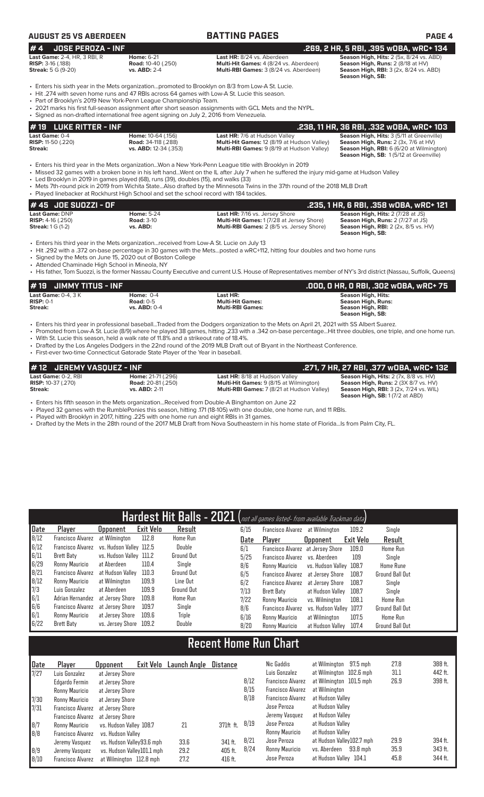# **AUGUST 25 VS ABERDEEN BATTING PAGES PAGE 4**

**# 4 JOSE PEROZA - INF .269, 2 HR, 5 RBI, .395 wOBA, wRC+ 134**

**RISP:** 3-16 (.188) **Road:** 10-40 (.250) **Multi-Hit Games:** 4 (8/24 vs. Aberdeen) **Season High, Runs:** 2 (8/18 at HV) **Streak:** 5 G (9-20) **vs. ABD:** 2-4 **Multi-RBI Games:** 3 (8/24 vs. Aberdeen) **Season High, RBI:** 3 (2x, 8/24 vs. ABD) **Season High, SB:** 

**Last Game:** 2-4, HR, 3 RBI, R **Home:** 6-21 **Last HR:** 8/24 vs. Aberdeen **Season High, Hits:** 2 (5x, 8/24 vs. ABD)

• Enters his sixth year in the Mets organization...promoted to Brooklyn on 8/3 from Low-A St. Lucie.

• Hit .274 with seven home runs and 47 RBIs across 64 games with Low-A St. Lucie this season

Part of Brooklyn's 2019 New York-Penn League Championship Team.

• 2021 marks his first full-season assignment after short season assignments with GCL Mets and the NYPL. • Signed as non-drafted international free agent signing on July 2, 2016 from Venezuela.

| $\bm{\mu}$ 19 $\,$ LUKE RITTER - INF $\,$ |                            |                                                    | .238. 11 HR. 36 RBI. .332 WOBA. WRC+ 103               |
|-------------------------------------------|----------------------------|----------------------------------------------------|--------------------------------------------------------|
| <b>Last Game: 0-4</b>                     | <b>Home: 10-64 (.156)</b>  | <b>Last HR:</b> 7/6 at Hudson Valley               | <b>Season High, Hits: 3 (5/11 at Greenville)</b>       |
| <b>RISP:</b> 11-50 $(.220)$               | <b>Road:</b> 34-118 (.288) | <b>Multi-Hit Games: 12 (8/19 at Hudson Valley)</b> | <b>Season High, Runs:</b> $2$ ( $3x$ , $7/6$ at $HV$ ) |
| Streak:                                   | vs. ABD: 12-34 (.353)      | <b>Multi-RBI Games: 9 (8/19 at Hudson Valley)</b>  | <b>Season High, RBI:</b> 6 (6/20 at Wilmington)        |
|                                           |                            |                                                    | <b>Season High, SB: 1(5/12 at Greenville)</b>          |

• Enters his third year in the Mets organization...Won a New York-Penn League title with Brooklyn in 2019

• Missed 32 games with a broken bone in his left hand...Went on the IL after July 7 when he suffered the injury mid-game at Hudson Valley

• Led Brooklyn in 2019 in games played (68), runs (39), doubles (15), and walks (33)

• Mets 7th-round pick in 2019 from Wichita State...Also drafted by the Minnesota Twins in the 37th round of the 2018 MLB Draft Played linebacker at Rockhurst High School and set the school record with 184 tackles.

| $#45$ JOE SUOZZI - OF      |                   |                                                  | .235, 1 HR, 6 RBI, .358 wOBA, wRC+ 121      |
|----------------------------|-------------------|--------------------------------------------------|---------------------------------------------|
| Last Game: DNP             | <b>Home: 5-24</b> | <b>Last HR:</b> 7/16 vs. Jersey Shore            | <b>Season High, Hits: 2 (7/28 at JS)</b>    |
| <b>RISP:</b> $4-16$ (.250) | <b>Road: 3-10</b> | <b>Multi-Hit Games: 1(7/28 at Jersey Shore)</b>  | <b>Season High, Runs: 2 (7/27 at JS)</b>    |
| <b>Streak:</b> $1 G (1-2)$ | vs. ABD:          | <b>Multi-RBI Games:</b> 2 (8/5 vs. Jersey Shore) | <b>Season High, RBI:</b> 2 (2x, 8/5 vs. HV) |
|                            |                   |                                                  | Season High, SB:                            |

• Enters his third year in the Mets organization...received from Low-A St. Lucie on July 13

• Hit .292 with a .372 on-base percentage in 30 games with the Mets...posted a wRC+112, hitting four doubles and two home runs

• Signed by the Mets on June 15, 2020 out of Boston College

• Attended Chaminade High School in Mineola, NY • His father, Tom Suozzi, is the former Nassau County Executive and current U.S. House of Representatives member of NY's 3rd district (Nassau, Suffolk, Queens)

**# 19 JIMMY TITUS - INF .000, 0 HR, 0 RBI, .302 wOBA, wRC+ 75 Last Game:** 0-4, 3 K **Home:** 0-4 **Last HR: Last HR: RISP:** 0-1 **Rise: RISP:** 0-1 **Rise: RISP: RISP:** 0-1 **Road:** 0-5 **Multi-Hit Games: RISP:** 0-1 **Road:** 0-5 **Multi-Hit Games: Season High, Runs: Streak: vs. ABD:** 0-4 **Multi-RBI Games: Season High, RBI: Season High, SB:** 

• Enters his third year in professional baseball...Traded from the Dodgers organization to the Mets on April 21, 2021 with SS Albert Suarez.

• Promoted from Low-A St. Lucie (8/9) where he played 38 games, hitting .233 with a .342 on-base percentage...Hit three doubles, one triple, and one home run.

• With St. Lucie this season, held a walk rate of 11.8% and a strikeout rate of 18.4%.

• Drafted by the Los Angeles Dodgers in the 22nd round of the 2019 MLB Draft out of Bryant in the Northeast Conference.

• First-ever two-time Connecticut Gatorade State Player of the Year in baseball.

| #12 JEREMY VASQUEZ - INF  |                           |                                                   | .271, 7 HR, 27 RBI, .377 wOBA, wRC+ 132       |
|---------------------------|---------------------------|---------------------------------------------------|-----------------------------------------------|
| Last Game: 0-2. RBI       | <b>Home: 21-71 (.296)</b> | <b>Last HR: 8/18 at Hudson Valley</b>             | Season High, Hits: 2 (7x, 8/8 vs. HV)         |
| <b>RISP:</b> 10-37 (.270) | <b>Road:</b> 20-81(.250)  | <b>Multi-Hit Games:</b> 9 (8/15 at Wilmington)    | Season High, Runs: 2 (3X 8/7 vs. HV)          |
| Streak:                   | $vs.$ ABD: $2-11$         | <b>Multi-RBI Games: 7 (8/21 at Hudson Valley)</b> | <b>Season High, RBI:</b> 3 (2x, 7/24 vs. WIL) |
|                           |                           |                                                   | <b>Season High, SB:</b> 1(7/2 at ABD)         |

• Enters his fifth season in the Mets organization...Received from Double-A Binghamton on June 22

• Played 32 games with the RumblePonies this season, hitting .171 (18-105) with one double, one home run, and 11 RBIs.<br>• Played with Brooklyn in 2017 hitting 225 with one home run and eight RBIs in 31 games

Played with Brooklyn in 2017, hitting .225 with one home run and eight RBIs in 31 games.

• Drafted by the Mets in the 28th round of the 2017 MLB Draft from Nova Southeastern in his home state of Florida...Is from Palm City, FL.

|      | Hardest Hit Balls - 2021 (not all games listed- from available Trackman data) |                         |                  |                 |      |      |                                   |                         |           |                        |  |  |
|------|-------------------------------------------------------------------------------|-------------------------|------------------|-----------------|------|------|-----------------------------------|-------------------------|-----------|------------------------|--|--|
| Date | Player                                                                        | <b>Upponent</b>         | <b>Exit Velo</b> | Result          | 6/15 |      | Francisco Alvarez                 | at Wilmington           | 109.2     | Single                 |  |  |
| 8/12 | <b>Francisco Alvarez</b>                                                      | at Wilmington           | 112.8            | <b>Home Run</b> |      | Date | Player                            | <b>Opponent</b>         | Exit Velo | Result                 |  |  |
| 6/12 | Francisco Alvarez                                                             | vs. Hudson Vallev 112.5 |                  | Double          | 6/1  |      | Francisco Alvarez at Jersey Shore |                         | 109.0     | <b>Home Run</b>        |  |  |
| 6/11 | Brett Baty                                                                    | vs. Hudson Valley 111.2 |                  | Ground Out      |      | 5/25 | Francisco Alvarez                 | vs. Aberdeen            | 109       | Single                 |  |  |
| 6/29 | Ronny Mauricio                                                                | at Aberdeen             | 110.4            | Single          | 8/6  |      | Ronny Mauricio                    | vs. Hudson Valley 108.7 |           | <b>Home Rune</b>       |  |  |
| 8/21 | Francisco Alvarez                                                             | at Hudson Vallev        | 110.3            | Ground Out      | 6/5  |      | <b>Francisco Alvarez</b>          | at Jersev Shore         | 108.7     | <b>Ground Ball Out</b> |  |  |
| 8/12 | Ronny Mauricio                                                                | at Wilmington           | 109.9            | Line Out        | 6/2  |      | <b>Francisco Alvarez</b>          | at Jersev Shore         | 108.7     | Single                 |  |  |
| 7/3  | Luis Gonzalez                                                                 | at Aberdeen             | 109.9            | Ground Out      | 7/13 |      | Brett Baty                        | at Hudson Vallev        | 108.7     | Single                 |  |  |
| 6/1  | Adrian Hernandez                                                              | at Jersev Shore         | 109.8            | <b>Home Run</b> | 7/22 |      | Ronny Mauricio                    | vs. Wilmington          | 108.1     | <b>Home Run</b>        |  |  |
| 6/6  | Francisco Alvarez                                                             | at Jersev Shore         | 109.7            | Single          | 8/6  |      | <b>Francisco Alvarez</b>          | vs. Hudson Valley 107.7 |           | <b>Ground Ball Out</b> |  |  |
| 6/1  | Ronny Mauricio                                                                | at Jersev Shore         | 109.6            | Triple          | 6/16 |      | Ronny Mauricio                    | at Wilmington           | 107.5     | Home Run               |  |  |
| 6/22 | Brett Baty                                                                    | vs. Jersev Shore        | 109.2            | Double          |      | 8/20 | Ronny Mauricio                    | at Hudson Vallev        | 107.4     | <b>Ground Ball Out</b> |  |  |

# **Recent Home Run Chart**

| Date | Player                            | <b>Opponent</b>            | Exit Velo | Launch Angle | Distance    |      | Nic Gaddis               | at Wilmington 97.5 mph    |          | 27.8 | 388 ft. |
|------|-----------------------------------|----------------------------|-----------|--------------|-------------|------|--------------------------|---------------------------|----------|------|---------|
| 7/27 | Luis Gonzalez                     | at Jersey Shore            |           |              |             |      | Luis Gonzalez            | at Wilmington 102.6 mph   |          | 31.1 | 442 ft. |
|      | Edgardo Fermin                    | at Jersey Shore            |           |              |             | 8/12 | <b>Francisco Alvarez</b> | at Wilmington 101.5 mph   |          | 26.9 | 398 ft. |
|      | Ronny Mauricio                    | at Jersev Shore            |           |              |             | 8/15 | <b>Francisco Alvarez</b> | at Wilmington             |          |      |         |
| 7/30 | Ronny Mauricio                    | at Jersev Shore            |           |              |             | 8/18 | <b>Francisco Alvarez</b> | at Hudson Valley          |          |      |         |
| 7/31 | Francisco Alvarez                 | at Jersey Shore            |           |              |             |      | Jose Peroza              | at Hudson Vallev          |          |      |         |
|      | Francisco Alvarez at Jersey Shore |                            |           |              |             |      | Jeremy Vasquez           | at Hudson Valley          |          |      |         |
| 8/7  | Ronny Mauricio                    | vs. Hudson Valley 108.7    |           | 21           | $371ft$ ft. | 8/19 | Jose Peroza              | at Hudson Valley          |          |      |         |
| 8/8  | Francisco Alvarez                 | vs. Hudson Vallev          |           |              |             |      | Ronny Mauricio           | at Hudson Valley          |          |      |         |
|      | Jeremy Vasquez                    | vs. Hudson Valley93.6 mph  |           | 33.6         | 341 ft.     | 8/21 | Jose Peroza              | at Hudson Valley102.7 mph |          | 29.9 | 394 ft. |
| 8/9  | Jeremy Vasquez                    | vs. Hudson Valley101.1 mph |           | 29.2         | 405 ft.     | 8/24 | Ronny Mauricio           | vs. Aberdeen              | 93.8 mph | 35.9 | 343 ft. |
| 8/10 | Francisco Alvarez                 | at Wilmington 112.8 mph    |           | 27.2         | $416$ ft.   |      | Jose Peroza              | at Hudson Valley 104.1    |          | 45.8 | 344 ft. |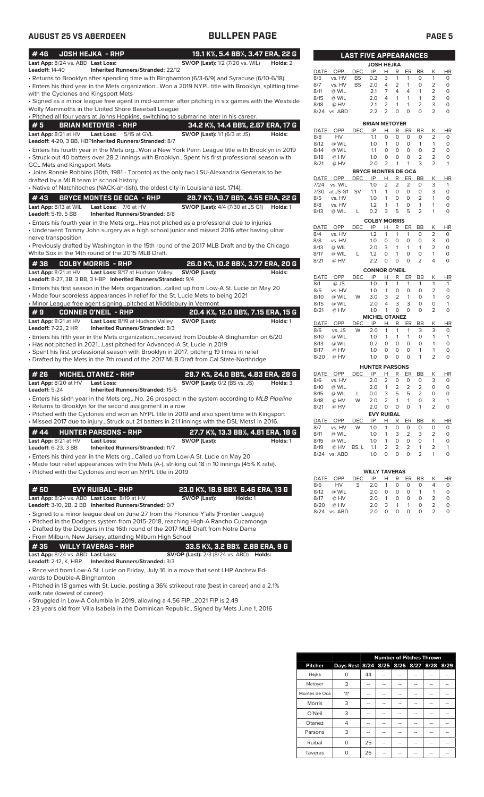| #46                                          | <b>JOSH HEJKA - RHP</b>                                                |                                                                                                     | 19.1 K%, 5.4 BB%, 3.47 ERA, 22 G |              |                      | <b>LAST FIVE APPEARANCES</b> |                            |                                  |                         |                           |                              |                                  |                         |
|----------------------------------------------|------------------------------------------------------------------------|-----------------------------------------------------------------------------------------------------|----------------------------------|--------------|----------------------|------------------------------|----------------------------|----------------------------------|-------------------------|---------------------------|------------------------------|----------------------------------|-------------------------|
| Last App: 8/24 vs. ABD Last Loss:            |                                                                        | <b>SV/OP</b> (Last): 1/2 (7/20 vs. WIL)                                                             | Holds: 2                         |              |                      |                              | <b>JOSH HEJKA</b>          |                                  |                         |                           |                              |                                  |                         |
| <b>Leadoff: 14-40</b>                        | <b>Inherited Runners/Stranded: 22/12</b>                               |                                                                                                     |                                  | DATE         | OPP                  | <b>DEC</b>                   | IP                         | н                                | R                       | ER                        | BB                           | Κ                                | HI                      |
|                                              |                                                                        | • Returns to Brooklyn after spending time with Binghamton (6/3-6/9) and Syracuse (6/10-6/18).       |                                  | 8/5          | vs. HV               | <b>BS</b>                    | 0.2                        | 3                                | 1                       | $\mathbf{1}$              | $\circ$                      | $\mathbf{1}$                     | 0                       |
|                                              |                                                                        | • Enters his third year in the Mets organizationWon a 2019 NYPL title with Brooklyn, splitting time |                                  | 8/7          | vs. HV               | BS                           | 2.0                        | 4                                | 2                       | $\mathbf{1}$              | $\circ$                      | 2                                | 0                       |
| with the Cyclones and Kingsport Mets         |                                                                        |                                                                                                     |                                  | 8/11<br>8/15 | @ WIL<br>@ WIL       |                              | 2.1<br>2.0                 | $\overline{7}$<br>$\overline{4}$ | 4<br>$\mathbf{1}$       | 4<br>$\mathbf{1}$         | $\mathbf{1}$<br>$\mathbf{1}$ | $\overline{2}$<br>$\overline{2}$ | $\circ$<br>0            |
|                                              |                                                                        | • Signed as a minor league free agent in mid-summer after pitching in six games with the Westside   |                                  | 8/18         | @ HV                 |                              | 2.1                        | 2                                | 1                       | $\mathbf{1}$              | $\overline{2}$               | 3                                | 0                       |
|                                              | Wolly Mammoths in the United Shore Baseball League                     |                                                                                                     |                                  |              | 8/24 vs. ABD         |                              | 2.2                        | 2                                | 0                       | $\circ$                   | $\Omega$                     | $\overline{2}$                   | 0                       |
|                                              |                                                                        | . Pitched all four years at Johns Hopkins, switching to submarine later in his career.              |                                  |              |                      |                              |                            |                                  |                         |                           |                              |                                  |                         |
| #5                                           | <b>BRIAN METOYER - RHP</b>                                             | 34.2 K%, 14.4 BB%, 2.67 ERA, 17 G                                                                   |                                  |              |                      |                              | <b>BRIAN METOYER</b>       |                                  |                         |                           |                              |                                  |                         |
| Last App: 8/21 at HV                         | <b>Last Loss:</b><br>5/15 at GVL                                       | <b>SV/OP (Last):</b> 1/1 (6/3 at JS)                                                                | Holds:                           | DATE<br>8/8  | OPP<br>HV            | <b>DEC</b>                   | IP<br>1.1                  | н<br>O                           | R<br>$\mathbf 0$        | ER<br>$\circ$             | <b>BB</b><br>0               | Κ<br>2                           | HI<br>0                 |
|                                              | Leadoff: 4-20, 3 BB, HBPInherited Runners/Stranded: 8/7                |                                                                                                     |                                  | 8/12         | @ WIL                |                              | 1.0                        | $\mathbf{1}$                     | 0                       | $\circ$                   | $\mathbf{1}$                 | $\mathbf{1}$                     | 0                       |
|                                              |                                                                        | · Enters his fourth year in the Mets orgWon a New York Penn League title with Brooklyn in 2019      |                                  | 8/14         | @ WIL                |                              | 1.1                        | $\circ$                          | $\circ$                 | $\circ$                   | $\circ$                      | $\overline{2}$                   | 0                       |
|                                              |                                                                        | • Struck out 40 batters over 28.2 innings with BrooklynSpent his first professional season with     |                                  | 8/18         | @ HV                 |                              | 1.0                        | 0                                | 0                       | 0                         | 2                            | $\overline{c}$                   | 0                       |
| <b>GCL Mets and Kingsport Mets</b>           |                                                                        |                                                                                                     |                                  | 8/21         | @ HV                 |                              | 2.0                        | 2                                | $\mathbf{1}$            | $\mathbf{1}$              | 3                            | $\overline{2}$                   | 1                       |
|                                              |                                                                        | • Joins Ronnie Robbins (30th, 1981 - Toronto) as the only two LSU-Alexandria Generals to be         |                                  |              |                      |                              | <b>BRYCE MONTES DE OCA</b> |                                  |                         |                           |                              |                                  |                         |
| drafted by a MLB team in school history      |                                                                        |                                                                                                     |                                  | DATE         | OPP                  | <b>DEC</b>                   | IP                         | H.                               | R                       | ER                        | BB                           | Κ                                | HI                      |
|                                              |                                                                        | • Native of Natchitoches (NACK-ah-tish), the oldest city in Louisiana (est. 1714).                  |                                  | 7/24<br>7/30 | vs. WIL<br>at JS G1  | <b>SV</b>                    | 1.0<br>1.1                 | 2<br>1                           | 2<br>0                  | $\overline{2}$<br>0       | 0<br>$\circ$                 | 3<br>3                           | -1<br>$\Omega$          |
| #43                                          | <b>BRYCE MONTES DE OCA - RHP</b>                                       | 28.7 K%, 19.7 BB%, 4.55 ERA, 22 G                                                                   |                                  | 8/5          | vs. HV               |                              | 1.0                        | 1                                | $\circ$                 | $\circ$                   | $\overline{2}$               | 1                                | $\circ$                 |
| Last App: 8/13 at WIL                        | Last Loss: 7/6 at HV                                                   | <b>SV/OP (Last):</b> 4/4 (7/30 at JS G1) <b>Holds:</b> 1                                            |                                  | 8/8          | vs. HV               |                              | 1.2                        | $\mathbf{1}$                     | 1                       | 0                         | 1                            | 1                                | $\circ$                 |
| Leadoff: 5-19, 5 BB                          | Inherited Runners/Stranded: 8/8                                        |                                                                                                     |                                  | 8/13         | @ WIL                | L                            | 0.2                        | 3                                | 5                       | 5                         | $\overline{2}$               | 1                                | 0                       |
|                                              |                                                                        | • Enters his fourth year in the Mets orgHas not pitched as a professional due to injuries           |                                  |              |                      |                              | <b>COLBY MORRIS</b>        |                                  |                         |                           |                              |                                  |                         |
|                                              |                                                                        | • Underwent Tommy John surgery as a high school junior and missed 2016 after having ulnar           |                                  | DATE         | OPP                  | <b>DEC</b>                   | IP                         | н                                | R                       | ER                        | BB                           | Κ                                | HI                      |
| nerve transposition                          |                                                                        |                                                                                                     |                                  | 8/4          | vs. HV               |                              | 1.2                        | 1                                | 1                       | 1                         | $\Omega$                     | $\overline{c}$                   | $\Omega$                |
|                                              |                                                                        | • Previously drafted by Washington in the 15th round of the 2017 MLB Draft and by the Chicago       |                                  | 8/8          | vs. HV               |                              | 1.0                        | 0                                | 0                       | $\circ$                   | $\circ$                      | 3                                | 0                       |
|                                              | White Sox in the 14th round of the 2015 MLB Draft.                     |                                                                                                     |                                  | 8/13         | @ WIL                |                              | 2.0                        | 3                                | $\mathbf{1}$            | $\mathbf{1}$              | $\mathbf{1}$                 | $\overline{2}$                   | $\circ$                 |
|                                              |                                                                        |                                                                                                     |                                  | 8/17<br>8/21 | @ WIL<br>@ HV        | L                            | 1.2<br>2.2                 | 0<br>$\circ$                     | $\mathbf{1}$<br>$\circ$ | 0<br>$\Omega$             | 0<br>$\overline{2}$          | $\mathbf{1}$<br>4                | 0<br>0                  |
| #38                                          | <b>COLBY MORRIS - RHP</b>                                              | 26.0 K%, 10.2 BB%, 3.77 ERA, 20 G                                                                   |                                  |              |                      |                              |                            |                                  |                         |                           |                              |                                  |                         |
| Last App: 8/21 at HV                         | Last Loss: 8/17 at Hudson Valley                                       | SV/OP (Last):                                                                                       | Holds:                           |              |                      |                              | <b>CONNOR O'NEIL</b>       |                                  |                         |                           |                              |                                  |                         |
|                                              | Leadoff: 8-27, 3B, 3 BB, 3 HBP Inherited Runners/Stranded: 9/4         |                                                                                                     |                                  | DATE<br>8/1  | OPP<br>@ JS          | <b>DEC</b>                   | IP<br>1.0                  | н<br>$\mathbf{1}$                | R<br>$\mathbf{1}$       | ER<br>1                   | BB<br>1                      | K<br>$\mathbf{1}$                | HI<br>1                 |
|                                              |                                                                        | • Enters his first season in the Mets organizationcalled up from Low-A St. Lucie on May 20          |                                  | 8/5          | vs. HV               |                              | 1.0                        | 1                                | 0                       | 0                         | 0                            | 2                                | $\circ$                 |
|                                              |                                                                        | • Made four scoreless appearances in relief for the St. Lucie Mets to being 2021                    |                                  | 8/10         | @ WIL                | W                            | 3.0                        | 3                                | $\overline{2}$          | $\mathbf{1}$              | $\circ$                      | $\mathbf{1}$                     | 0                       |
|                                              | . Minor League free agent signingpitched at Middlebury in Vermont      |                                                                                                     |                                  | 8/15         | @ WIL                |                              | 2.0                        | 4                                | 3                       | 3                         | $\circ$                      | 0                                |                         |
| #9                                           | <b>CONNER O'NEIL - RHP</b>                                             | 20.4 K%, 12.0 BB%, 7.15 ERA, 15 G                                                                   |                                  | 8/21         | @ HV                 |                              | 1.0                        | $\mathbf{1}$                     | $\circ$                 | $\circ$                   | $\circ$                      | $\overline{2}$                   | 0                       |
| Last App: 8/21 at HV                         | Last Loss: 8/19 at Hudson Valley                                       | SV/OP (Last):                                                                                       | Holds: 1                         |              |                      |                              | <b>MICHEL OTANEZ</b>       |                                  |                         |                           |                              |                                  |                         |
| <b>Leadoff: 7-22, 2 HR</b>                   | Inherited Runners/Stranded: 8/3                                        |                                                                                                     |                                  | DATE<br>8/6  | OPP<br>vs. JS        | DEC<br>W                     | IP<br>2.0                  | Н<br>1                           | R<br>1                  | ER<br>$\mathbf{1}$        | BB<br>3                      | Κ<br>3                           | HI<br>0                 |
|                                              |                                                                        | • Enters his fifth year in the Mets organizationreceived from Double-A Binghamton on 6/20           |                                  | 8/10         | @ WIL                |                              | 1.0                        | $\mathbf{1}$                     | $\mathbf{1}$            | $\mathbf{1}$              | 0                            | $\mathbf{1}$                     | 1                       |
|                                              | • Has not pitched in 2021Last pitched for Advanced-A St. Lucie in 2019 |                                                                                                     |                                  | 8/13         | @ WIL                |                              | 0.2                        | $\circ$                          | $\circ$                 | $\circ$                   | $\circ$                      | $\mathbf{1}$                     | $\Omega$                |
|                                              |                                                                        | • Spent his first professional season with Brooklyn in 2017, pitching 19 times in relief            |                                  | 8/17         | @ HV                 |                              | 1.0                        | O                                | $\circ$                 | $\circ$                   | $\mathbf{1}$                 | $\mathbf{1}$                     | 0                       |
|                                              |                                                                        | • Drafted by the Mets in the 7th round of the 2017 MLB Draft from Cal State-Northridge              |                                  | 8/20         | @ HV                 |                              | 1.0                        | 0                                | 0                       | $\circ$                   | 1                            | 2                                | 0                       |
|                                              |                                                                        |                                                                                                     |                                  |              |                      |                              | <b>HUNTER PARSONS</b>      |                                  |                         |                           |                              |                                  |                         |
| #26                                          | <b>MICHEL OTANEZ - RHP</b>                                             | 28.7 K%, 24.0 BB%, 4.83 ERA, 28 G                                                                   |                                  | DATE         | OPP                  | <b>DEC</b>                   | IP                         | H                                | R                       | ER                        | BB                           | Κ                                | HI                      |
| Last App: 8/20 at HV                         | Last Loss:                                                             | <b>SV/OP (Last): 0/2 (BS vs. JS)</b>                                                                | Holds: 3                         | 8/6          | vs. HV               |                              | 2.0                        | 2                                | 0                       | 0                         | O                            | 3                                | $\mathbf 0$             |
| Leadoff: 5-24                                | Inherited Runners/Stranded: 15/5                                       |                                                                                                     |                                  | 8/10         | @ WIL                |                              | 2.0                        | $\mathbf{1}$                     | 2                       | 2                         | $\overline{2}$               | $\circ$                          | 0                       |
|                                              |                                                                        | • Enters his sixth year in the Mets orgNo. 26 prospect in the system according to MLB Pipeline      |                                  | 8/15         | @ WIL                |                              | 0.0                        | 3                                | 5                       | 5                         | $\overline{2}$               | $\Omega$                         | $\Omega$                |
|                                              | • Returns to Brooklyn for the second assignment in a row               |                                                                                                     |                                  | 8/18<br>8/21 | @ HV<br>@ HV         | W                            | 2.0<br>2.0                 | $\overline{2}$<br>$\circ$        | $\mathbf{1}$<br>0       | 1<br>0                    | 0                            | 3<br>$\overline{2}$              | 1<br>$\circ$            |
|                                              |                                                                        | • Pitched with the Cyclones and won an NYPL title in 2019 and also spent time with Kingsport        |                                  |              |                      |                              | <b>EVY RUIBAL</b>          |                                  |                         |                           |                              |                                  |                         |
|                                              |                                                                        | . Missed 2017 due to injuryStruck out 21 batters in 21.1 innings with the DSL Mets1 in 2016.        |                                  | DATE         | OPP                  | <b>DEC</b>                   | IP                         | H                                | R                       | ER                        | BB                           | К                                | HI                      |
|                                              |                                                                        |                                                                                                     |                                  | 8/7          | vs. HV               | W                            | 1.0                        | 1                                | 0                       | $\mathsf O$               | 0                            | 0                                | 0                       |
| #44                                          | <b>HUNTER PARSONS - RHP</b>                                            | 27.7 K%, 13.3 BB%, 4.81 ERA, 18 G                                                                   |                                  | 8/11         | @ WIL                |                              | 1.0                        | 1                                | 3                       | $\overline{2}$            | 3                            | 2                                | 0                       |
| Last App: 8/21 at HV                         | <b>Last Loss:</b>                                                      | SV/OP (Last):                                                                                       | Holds: 1                         | 8/15         | @ WIL                |                              | 1.0                        | $\mathbf{1}$                     | 0                       | $\mathsf O$               | $\circ$                      | $\mathbf{1}$                     | 0                       |
| Leadoff: 6-23, 3 BB                          | <b>Inherited Runners/Stranded: 11/7</b>                                |                                                                                                     |                                  | 8/19         | @ HV<br>8/24 vs. ABD | BS, L                        | 1.1<br>1.0                 | 2<br>$\circ$                     | 2<br>0                  | $\overline{2}$<br>$\circ$ | $\mathbf{1}$<br>2            | 2<br>1                           | $\mathbf{1}$<br>$\circ$ |
|                                              |                                                                        | • Enters his third year in the Mets orgCalled up from Low-A St. Lucie on May 20                     |                                  |              |                      |                              |                            |                                  |                         |                           |                              |                                  |                         |
|                                              |                                                                        | • Made four relief appearances with the Mets (A-), striking out 18 in 10 innings (45% K rate).      |                                  |              |                      |                              |                            |                                  |                         |                           |                              |                                  |                         |
|                                              | . Pitched with the Cyclones and won an NYPL title in 2019              |                                                                                                     |                                  |              |                      |                              | <b>WILLY TAVERAS</b>       |                                  |                         |                           |                              |                                  |                         |
|                                              |                                                                        |                                                                                                     |                                  | DATE<br>8/6  | OPP<br>HV            | DEC<br>S                     | IP<br>2.0                  | Н<br>1                           | R<br>0                  | ER<br>0                   | BB<br>0                      | Κ<br>4                           | H <sub>1</sub><br>0     |
| #50                                          | <b>EVY RUIBAL - RHP</b>                                                | 23.0 K%, 18.9 BB% 6.46 ERA, 13 G                                                                    |                                  | 8/12         | @ WIL                |                              | 2.0                        | 0                                | 0                       | 0                         | $\mathbf{1}$                 | $\mathbf{1}$                     | 0                       |
| Last App: 8/24 vs. ABD Last Loss: 8/19 at HV |                                                                        | SV/OP (Last):                                                                                       | Holds: 1                         | 8/17         | @ HV                 |                              | 2.0                        | $\mathbf{1}$                     | 0                       | 0                         | 0                            | $\overline{2}$                   | 0                       |
|                                              | Leadoff: 3-10, 2B, 2 BB Inherited Runners/Stranded: 9/7                |                                                                                                     |                                  | 8/20         | @ HV                 |                              | 2.0                        | 3                                | $\mathbf{1}$            | $\mathbf{1}$              | 0                            | $\overline{2}$                   | 0                       |
|                                              |                                                                        | • Signed to a minor league deal on June 27 from the Florence Y'alls (Frontier League)               |                                  |              | 8/24 vs. ABD         |                              | 2.0                        | 0                                | $\mathbf 0$             | $\circ$                   | $\circ$                      | $\overline{2}$                   | 0                       |
|                                              |                                                                        | • Pitched in the Dodgers system from 2015-2018, reaching High-A Rancho Cucamonga                    |                                  |              |                      |                              |                            |                                  |                         |                           |                              |                                  |                         |
|                                              |                                                                        | • Drafted by the Dodgers in the 16th round of the 2017 MLB Draft from Notre Dame                    |                                  |              |                      |                              |                            |                                  |                         |                           |                              |                                  |                         |
|                                              | • From Milburn, New Jersey, attending Milburn High School              |                                                                                                     |                                  |              |                      |                              |                            |                                  |                         |                           |                              |                                  |                         |
| #35                                          | <b>WILLY TAVERAS - RHP</b>                                             | 33.5 K%, 3.2 BB% 2.88 ERA, 9 G                                                                      |                                  |              |                      |                              |                            |                                  |                         |                           |                              |                                  |                         |
| Last App: 8/24 vs. ABD Last Loss:            |                                                                        | <b>SV/OP (Last):</b> 2/3 (8/24 vs. ABD) <b>Holds:</b>                                               |                                  |              |                      |                              |                            |                                  |                         |                           |                              |                                  |                         |
| <b>Leadoff: 2-12, K, HBP</b>                 | Inherited Runners/Stranded: 3/3                                        |                                                                                                     |                                  |              |                      |                              |                            |                                  |                         |                           |                              |                                  |                         |
|                                              |                                                                        |                                                                                                     |                                  |              |                      |                              |                            |                                  |                         |                           |                              |                                  |                         |

• Received from Low-A St. Lucie on Friday, July 16 in a move that sent LHP Andrew Edwards to Double-A Binghamton

• Pitched in 18 games with St. Lucie, posting a 36% strikeout rate (best in career) and a 2.1% walk rate (lowest of career)

• Struggled in Low-A Columbia in 2019, allowing a 4.56 FIP...2021 FIP is 2.49

• 23 years old from Villa Isabela in the Dominican Republic...Signed by Mets June 1, 2016

| <b>LAST FIVE APPEARANCES</b> |                 |            |                                   |        |        |         |                                  |                     |           |  |  |  |
|------------------------------|-----------------|------------|-----------------------------------|--------|--------|---------|----------------------------------|---------------------|-----------|--|--|--|
|                              |                 |            | <b>JOSH HEJKA</b>                 |        |        |         |                                  |                     |           |  |  |  |
| DATE                         | OPP             | <b>DEC</b> | IP                                | Н      | R      | ER      | <b>BB</b>                        | Κ                   | HR        |  |  |  |
| 8/5                          | vs. HV          | BS<br>BS   | 0.2<br>2.0                        | 3<br>4 | 1<br>2 | 1<br>1  | 0<br>0                           | 1<br>2              | 0<br>0    |  |  |  |
| 8/7<br>8/11                  | vs. HV<br>@ WIL |            | 2.1                               | 7      | 4      | 4       | 1                                | 2                   | 0         |  |  |  |
| 8/15                         | @ WIL           |            | 2.0                               | 4      | 1      | 1       | 1                                | 2                   | 0         |  |  |  |
| 8/18                         | @ HV            |            | 2.1                               | 2      | 1      | 1       | $\overline{2}$                   | 3                   | 0         |  |  |  |
| 8/24                         | vs. ABD         |            | 2.2                               | 2      | 0      | O       | O                                | 2                   | 0         |  |  |  |
|                              |                 |            | <b>BRIAN METOYER</b>              |        |        |         |                                  |                     |           |  |  |  |
| DATE                         | OPP             | DEC        | IP                                | Н      | R      | ER      | <b>BB</b>                        | Κ                   | ΗR        |  |  |  |
| 8/8                          | HV              |            | 1.1                               | O      | 0      | 0       | 0                                | 2                   | 0         |  |  |  |
| 8/12                         | @ WIL           |            | 1.0                               | 1      | 0      | 0       | 1                                | 1                   | 0         |  |  |  |
| 8/14                         | @ WIL           |            | 1.1                               | 0      | 0      | 0       | 0                                | 2                   | 0         |  |  |  |
| 8/18                         | @ HV            |            | 1.0                               | 0      | 0<br>1 | 0<br>1  | 2<br>3                           | 2<br>2              | 0<br>1    |  |  |  |
| 8/21                         | @ HV            |            | 2.0<br><b>BRYCE MONTES DE OCA</b> | 2      |        |         |                                  |                     |           |  |  |  |
| DATE                         | OPP             | DEC        | IP                                | Н      | R      | ER      | <b>BB</b>                        | Κ                   | ΗR        |  |  |  |
| 7/24                         | vs. WIL         |            | 1.0                               | 2      | 2      | 2       | 0                                | 3                   | 1         |  |  |  |
| 7/30                         | at JS G1        | SV         | 1.1                               | 1      | 0      | 0       | 0                                | 3                   | 0         |  |  |  |
| 8/5                          | vs. HV          |            | 1.0                               | 1      | 0      | 0       | 2                                | 1                   | 0         |  |  |  |
| 8/8<br>8/13                  | vs. HV<br>@ WIL | L          | 1.2<br>0.2                        | 1<br>3 | 1<br>5 | 0<br>5  | 1<br>$\overline{2}$              | 1<br>1              | 0<br>0    |  |  |  |
|                              |                 |            |                                   |        |        |         |                                  |                     |           |  |  |  |
| <b>DATE</b>                  | OPP             | DEC        | <b>COLBY MORRIS</b><br>IP         | н      | R      | ER      | BB                               | Κ                   | ΗR        |  |  |  |
| 8/4                          | vs. HV          |            | 1.2                               | 1      | 1      | 1       | 0                                | 2                   | 0         |  |  |  |
| 8/8                          | vs. HV          |            | 1.0                               | 0      | 0      | 0       | 0                                | 3                   | 0         |  |  |  |
| 8/13                         | @ WIL           |            | 2.0                               | 3      | 1      | 1       | 1                                | $\overline{2}$      | 0         |  |  |  |
| 8/17                         | @ WIL           | L          | 1.2                               | 0      | 1      | 0       | 0                                | 1                   | 0         |  |  |  |
| 8/21                         | @ HV            |            | 2.2                               | 0      | 0      | 0       | 2                                | 4                   | 0         |  |  |  |
|                              |                 |            | <b>CONNOR O'NEIL</b>              |        |        |         |                                  |                     |           |  |  |  |
| DATE<br>8/1                  | OPP<br>@ JS     | DEC        | IP<br>1.0                         | н<br>1 | R<br>1 | ER<br>1 | ВB<br>1                          | Κ<br>1              | ΗR<br>1   |  |  |  |
| 8/5                          | vs. HV          |            | 1.0                               | 1      | 0      | 0       | 0                                | 2                   | 0         |  |  |  |
| 8/10                         | @ WIL           | W          | 3.0                               | 3      | 2      | 1       | 0                                | 1                   | 0         |  |  |  |
| 8/15                         | @ WIL           |            | 2.0                               | 4      | 3      | 3       | 0                                | 0                   | 1         |  |  |  |
| 8/21                         | @ HV            |            | 1.0                               | 1      | 0      | 0       | 0                                | 2                   | 0         |  |  |  |
|                              |                 |            | <b>MICHEL OTANEZ</b><br>IP        |        |        |         |                                  |                     |           |  |  |  |
| DATE<br>8/6                  | OPP<br>vs. JS   | DEC<br>W   | 2.0                               | Н<br>1 | R<br>1 | ER<br>1 | ВB<br>3                          | Κ<br>3              | ΗR<br>0   |  |  |  |
| 8/10                         | @ WIL           |            | 1.0                               | 1      | 1      | 1       | 0                                | 1                   | 1         |  |  |  |
| 8/13                         | @ WIL           |            | 0.2                               | 0      | 0      | 0       | 0                                | 1                   | 0         |  |  |  |
| 8/17                         | @ HV            |            | 1.0                               | 0      | 0      | 0       | 1                                | 1                   | 0         |  |  |  |
| 8/20                         | @ HV            |            | 1.0                               | 0      | 0      | 0       | 1                                | 2                   | 0         |  |  |  |
|                              |                 |            | <b>HUNTER PARSONS</b>             |        |        |         |                                  |                     |           |  |  |  |
| DATE                         | OPP             | DEC        | IP                                | Н      | R      | ER      | <b>BB</b>                        | Κ                   | HR        |  |  |  |
| 8/6                          | vs. HV          |            | 2.0                               | 2      | 0      | 0       | 0                                | 3                   | 0         |  |  |  |
| 8/10<br>8/15                 | @ WIL<br>@ WIL  | L          | 2.0<br>0.0                        | 1<br>3 | 2<br>5 | 2<br>5  | $\overline{2}$<br>$\overline{2}$ | 0<br>0              | 0<br>0    |  |  |  |
| 8/18                         | @ HV            | W          | 2.0                               | 2      | 1      | 1       | 0                                | 3                   | 1         |  |  |  |
| 8/21                         | @ HV            |            | 2.0                               | 0      | 0      | 0       | 1                                | 2                   | 0         |  |  |  |
|                              |                 |            | <b>EVY RUIBAL</b>                 |        |        |         |                                  |                     |           |  |  |  |
| DATE                         | OPP             | <b>DEC</b> | IP                                | Н      | R      | ER      | <b>BB</b>                        | Κ                   | HR        |  |  |  |
| 8/7<br>8/11                  | vs. HV<br>@ WIL | W          | 1.0<br>1.0                        | 1<br>1 | 0<br>3 | 0<br>2  | 0<br>3                           | 0<br>2              | 0<br>0    |  |  |  |
| 8/15                         | @ WIL           |            | 1.0                               | 1      | 0      | 0       | 0                                | 1                   | 0         |  |  |  |
| 8/19                         | @ HV            | BS, L      | 1.1                               | 2      | 2      | 2       | 1                                | 2                   | 1         |  |  |  |
| 8/24                         | vs. ABD         |            | 1.0                               | 0      | 0      | 0       | $\overline{2}$                   | 1                   | 0         |  |  |  |
|                              |                 |            |                                   |        |        |         |                                  |                     |           |  |  |  |
|                              |                 |            | <b>WILLY TAVERAS</b>              |        |        |         |                                  |                     |           |  |  |  |
| DATE                         | OPP             | <b>DEC</b> | ΙP                                | н      | R      | ER      | BB                               | Κ                   | <u>HR</u> |  |  |  |
| 8/6                          | HV              | S          | 2.0                               | 1      | 0      | 0       | 0                                | 4                   | 0         |  |  |  |
| 8/12                         | @ WIL           |            | 2.0                               | 0      | 0      | 0       | 1                                | 1                   | 0         |  |  |  |
| 8/17                         | @ HV            |            | 2.0                               | 1      | 0      | 0       | 0                                | 2                   | 0         |  |  |  |
| 8/20<br>8/24                 | @ HV<br>vs. ABD |            | 2.0<br>2.0                        | 3<br>O | 1<br>0 | 1<br>0  | 0<br>0                           | 2<br>$\overline{2}$ | 0<br>0    |  |  |  |
|                              |                 |            |                                   |        |        |         |                                  |                     |           |  |  |  |

|                |                                         |    | <b>Number of Pitches Thrown</b> |  |  |
|----------------|-----------------------------------------|----|---------------------------------|--|--|
| <b>Pitcher</b> | Days Rest 8/24 8/25 8/26 8/27 8/28 8/29 |    |                                 |  |  |
| Hejka          | ი                                       | 44 |                                 |  |  |
| Metoyer        | 3                                       |    |                                 |  |  |
| Montes de Oca  | $11*$                                   |    |                                 |  |  |
| <b>Morris</b>  | 3                                       | -- |                                 |  |  |
| O'Neil         | 3                                       | -- |                                 |  |  |
| Otanez         | 4                                       |    |                                 |  |  |
| Parsons        | 3                                       |    |                                 |  |  |
| Ruibal         | O                                       | 25 |                                 |  |  |
| Taveras        |                                         | 26 |                                 |  |  |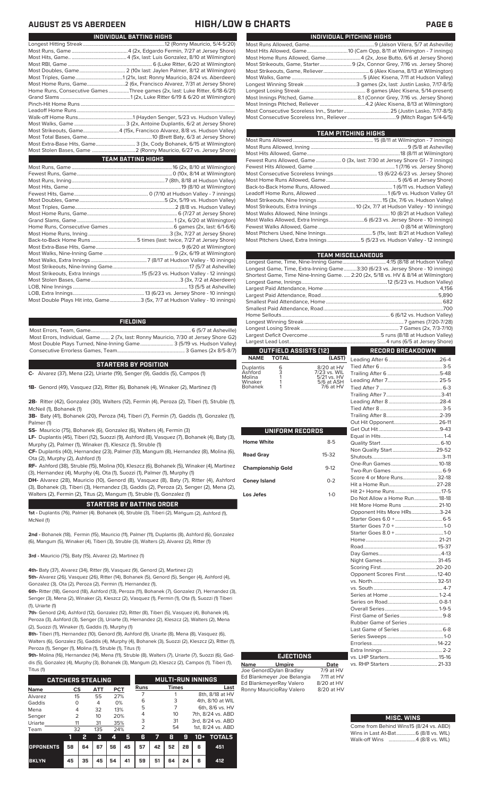| INDIVIDUAL PITCHING HIGHS |
|---------------------------|
|                           |
|                           |
|                           |
|                           |
|                           |
|                           |
|                           |
|                           |
|                           |
|                           |
|                           |
|                           |

| TEAM PITCHING HIGHS                                                         |
|-----------------------------------------------------------------------------|
|                                                                             |
|                                                                             |
|                                                                             |
| Fewest Runs Allowed, Game 0 (3x, last: 7/30 at Jersey Shore G1 - 7 innings) |
|                                                                             |
|                                                                             |
|                                                                             |
|                                                                             |
|                                                                             |
|                                                                             |
|                                                                             |
|                                                                             |
|                                                                             |
|                                                                             |
|                                                                             |
| Most Pitchers Used, Extra Innings 5 (5/23 vs. Hudson Valley - 12 innings)   |
|                                                                             |

| <b>TEAM MISCELLANEOUS</b>                                                          |                  |
|------------------------------------------------------------------------------------|------------------|
| Longest Game, Time, Nine-Inning Game 4:15 (8/18 at Hudson Valley)                  |                  |
| Longest Game, Time, Extra-Inning Game3:30 (6/23 vs. Jersey Shore - 10 innings)     |                  |
| Shortest Game, Time Nine-Inning Game.  2:20 (2x, 5/18 vs. HV & 8/14 at Wilmington) |                  |
|                                                                                    |                  |
|                                                                                    |                  |
|                                                                                    |                  |
|                                                                                    |                  |
|                                                                                    |                  |
|                                                                                    |                  |
|                                                                                    |                  |
|                                                                                    |                  |
|                                                                                    |                  |
|                                                                                    |                  |
| <b>OUTFIELD ASSISTS [12]</b>                                                       | RECORD BREAKDOWN |

## **OUTFIELD ASSISTS (12) NAME TOTAL (LAST)**

| Duplantis<br>Ashford<br>Molina | 6<br>3 | 8/20 at HV<br>7/23 vs. WIL<br>5/21 vs. HV |
|--------------------------------|--------|-------------------------------------------|
| Winaker                        |        | 5/6 at ASH                                |
| <b>Bohanek</b>                 |        | 7/6 at HV                                 |

|                          |          | Н<br>O                                                                                         |
|--------------------------|----------|------------------------------------------------------------------------------------------------|
| UNIFORM RECORDS          |          | G<br>E)                                                                                        |
| <b>Home White</b>        | $8 - 5$  | Q                                                                                              |
| <b>Road Gray</b>         | 15-32    | N<br>S                                                                                         |
| <b>Championship Gold</b> | $9 - 12$ | O<br>T)                                                                                        |
| <b>Coney Island</b>      | $0 - 2$  | S<br>H                                                                                         |
| Los Jefes                | $1-0$    | H<br>D<br>H<br>O<br>S<br>S<br>S<br>Н<br>R<br>D<br>N<br>S<br>O<br>V.<br>V.<br>S<br>S,<br>$\sim$ |

| Score 4 or More Runs 32-18    |  |
|-------------------------------|--|
|                               |  |
|                               |  |
| Do Not Allow a Home Run 18-18 |  |
| Hit More Home Runs  21-10     |  |
| Opponent Hits More HRs3-24    |  |
|                               |  |
|                               |  |
|                               |  |
|                               |  |
|                               |  |
|                               |  |
|                               |  |
|                               |  |
| Opponent Scores First 12-40   |  |
|                               |  |
|                               |  |
|                               |  |
|                               |  |
|                               |  |
|                               |  |
|                               |  |
|                               |  |
|                               |  |
|                               |  |
|                               |  |

### **MISC. WINS**

| Come from Behind Wins15 (8/24 vs. ABD) |  |  |
|----------------------------------------|--|--|
| Wins in Last At-Bat 6 (8/8 vs. WIL)    |  |  |
| Walk-off Wins 4 (8/8 vs. WIL)          |  |  |

## **AUGUST 25 VS ABERDEEN HIGH/LOW & CHARTS PAGE 6**

| INDIVIDUAL BATTING HIGHS                                                    |
|-----------------------------------------------------------------------------|
|                                                                             |
|                                                                             |
|                                                                             |
|                                                                             |
|                                                                             |
|                                                                             |
|                                                                             |
| Home Runs, Consecutive Games Three games (2x, last: Luke Ritter, 6/18-6/21) |
|                                                                             |
|                                                                             |
|                                                                             |
|                                                                             |
|                                                                             |
| Most Strikeouts, Game4 (15x, Francisco Alvarez, 8/8 vs. Hudson Valley)      |
|                                                                             |
| Most Extra-Base Hits, Game 3 (3x, Cody Bohanek, 6/15 at Wilmington)         |
|                                                                             |
| <b>TEAM BATTING HIGHS</b>                                                   |
|                                                                             |
|                                                                             |
|                                                                             |
|                                                                             |
|                                                                             |
|                                                                             |
|                                                                             |
|                                                                             |
|                                                                             |
|                                                                             |
|                                                                             |
|                                                                             |
|                                                                             |
|                                                                             |
|                                                                             |
|                                                                             |
|                                                                             |
|                                                                             |
|                                                                             |
|                                                                             |
| Most Double Plays Hit into, Game3 (5x, 7/7 at Hudson Valley - 10 innings)   |

### **FIELDING**

Most Errors, Team, Game...............................................................................6 (5/7 at Asheville) Most Errors, Individual, Game....... 2 (7x, last: Ronny Mauricio, 7/30 at Jersey Shore G2) Most Double Plays Turned, Nine-Inning Game.......................... 3 (5/19 vs. Hudson Valley) Consecutive Errorless Games, Team...

### **STARTERS BY POSITION**

**C-** Alvarez (37), Mena (22), Uriarte (19), Senger (9), Gaddis (5), Campos (1)

**1B-** Genord (49), Vasquez (32), Ritter (6), Bohanek (4), Winaker (2), Martinez (1)

**2B-** Ritter (42), Gonzalez (30), Walters (12), Fermin (4), Peroza (2), Tiberi (1), Struble (1), McNeil (1), Bohanek (1)

**3B-** Baty (41), Bohanek (20), Peroza (14), Tiberi (7), Fermin (7), Gaddis (1), Gonzalez (1), Palmer (1)

- **SS-** Mauricio (75), Bohanek (6), Gonzalez (6), Walters (4), Fermin (3)
- **LF-** Duplantis (45), Tiberi (12), Suozzi (9), Ashford (8), Vasquez (7), Bohanek (4), Baty (3), Murphy (2), Palmer (1), Winaker (1), Kleszcz (1), Struble (1)

**CF-** Duplantis (40), Hernandez (23), Palmer (13), Mangum (8), Hernandez (8), Molina (6), Ota (2), Murphy (2), Ashford (1)

**RF-** Ashford (38), Struble (15), Molina (10), Kleszcz (6), Bohanek (5), Winaker (4), Martinez (3), Hernandez (4), Murphy (4), Ota (1), Suozzi (1), Palmer (1), Murphy (1)

**DH-** Alvarez (28), Mauricio (10), Genord (8), Vasquez (8), Baty (7), Ritter (4), Ashford (3), Bohanek (3), Tiberi (3), Hernandez (3), Gaddis (2), Peroza (2), Senger (2), Mena (2), Walters (2), Fermin (2), Titus (2), Mangum (1), Struble (1), Gonzalez (1)

### **STARTERS BY BATTING ORDER**

**1st -** Duplantis (76), Palmer (4). Bohanek (4), Struble (3), Tiberi (2), Mangum (2), Ashford (1), McNeil (1)

**2nd -** Bohanek (18), Fermin (15), Mauricio (11), Palmer (11), Duplantis (8), Ashford (6), Gonzalez (6), Mangum (5), Winaker (4), Tiberi (3), Struble (3), Walters (2), Alvarez (2), Ritter (1)

**3rd -** Mauricio (75), Baty (15), Alvarez (2), Martinez (1)

**4th-** Baty (37), Alvarez (34), Ritter (9), Vasquez (9), Genord (2), Martinez (2)

**5th-** Alvarez (26), Vasquez (26), Ritter (14), Bohanek (5), Genord (5), Senger (4), Ashford (4),

Gonzalez (3), Ota (2), Peroza (2), Fermin (1), Hernandez (1), **6th-** Ritter (18), Genord (18), Ashford (13), Peroza (11), Bohanek (7), Gonzalez (7), Hernandez (3), Senger (3), Mena (2), Winaker (2), Kleszcz (2), Vasquez (1), Fermin (1), Ota (1), Suozzi (1) Tiberi (1), Uriarte (1)

**7th-** Genord (24), Ashford (12), Gonzalez (12), Ritter (8), Tiberi (5), Vasquez (4), Bohanek (4), Peroza (3), Ashford (3), Senger (3), Uriarte (3), Hernandez (2), Kleszcz (2), Walters (2), Mena (2), Suozzi (1), Winaker (1), Gaddis (1), Murphy (1)

**8th-** Tiberi (11), Hernandez (10), Genord (9), Ashford (9), Uriarte (8), Mena (8), Vasquez (6), Walters (6), Gonzalez (5), Gaddis (4), Murphy (4), Bohanek (3), Suozzi (2), Kleszcz (2), Ritter (1),

Peroza (1), Senger (1), Molina (1), Struble (1), Titus (1) **9th-** Molina (16), Hernandez (14), Mena (11), Struble (8), Walters (7), Uriarte (7), Suozzi (6), Gad-

dis (5), Gonzalez (4), Murphy (3), Bohanek (3), Mangum (2), Kleszcz (2), Campos (1), Tiberi (1), Titus (1)

| <b>CATCHERS STEALING</b> |                |    |                 |            |    |               |    | <b>MULTI-RUN INNINGS</b> |    |                   |                   |  |  |
|--------------------------|----------------|----|-----------------|------------|----|---------------|----|--------------------------|----|-------------------|-------------------|--|--|
| <b>Name</b>              | CS             |    | <b>ATT</b>      | <b>PCT</b> |    | <b>Runs</b>   |    | <b>Times</b>             |    |                   | Last              |  |  |
| Alvarez                  | 15<br>55       |    | 27%             |            |    |               |    |                          |    | 8th, 8/18 at HV   |                   |  |  |
| Gaddis                   | $\Omega$       |    | 4               | 0%         |    | 6             |    | 3                        |    | 4th, 8/10 at WIL  |                   |  |  |
| Mena                     | 4              |    | 32              | 13%        |    | 5             |    |                          |    | 6th, 8/6 vs. HV   |                   |  |  |
| Senger                   | $\overline{2}$ |    | 10 <sup>2</sup> | 20%        |    | 4             |    | 10 <sup>2</sup>          |    |                   | 7th, 8/24 vs. ABD |  |  |
| Uriarte                  | 11             |    | 31              | 35%        |    | 3<br>31       |    |                          |    | 3rd, 8/24 vs. ABD |                   |  |  |
| Team                     | 32             |    | 135             | 24%        |    | $\mathcal{P}$ | 54 |                          |    | 1st. 8/24 vs. ABD |                   |  |  |
|                          | 11             | 2  | з               | 4          | 5  | 6             | 7  | 8                        | 9  | 10+               | <b>TOTALS</b>     |  |  |
| <b>OPPONENTS</b>         | 58             | 64 | 67              | 56         | 45 | 57            | 42 | 52                       | 28 | 6                 | 451               |  |  |
| <b>BKLYN</b>             | 45             | 35 | 45              | 54         | 41 | 59            | 51 | 64                       | 24 | 6                 | 412               |  |  |

**EJECTIONS**

**Name Umpire Date** Joe GenordDylan Bradley 7/9 at HV Ed Blankmeyer Joe Belangia 7/11 at HV Ed BlankmeyerRay Valero 8/20 at HV Ronny MauricioRay Valero 8/20 at HV

# vs. LHP Starters.......................................15-16 vs. RHP Starters ...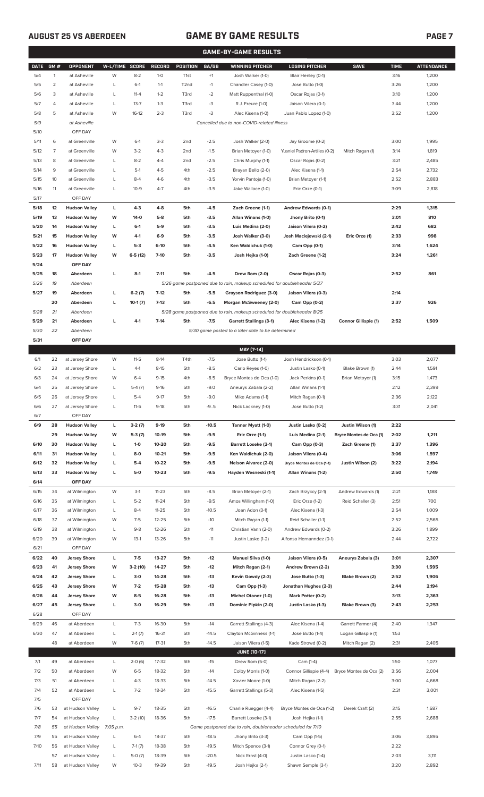# **AUGUST 25 VS ABERDEEN GAME BY GAME RESULTS**

|--|--|--|

|              |                |                                      |                |                    |                |                   |                    | <b>GAME-BY-GAME RESULTS</b>                                             |                                          |                         |              |                   |
|--------------|----------------|--------------------------------------|----------------|--------------------|----------------|-------------------|--------------------|-------------------------------------------------------------------------|------------------------------------------|-------------------------|--------------|-------------------|
| <b>DATE</b>  | GM#            | <b>OPPONENT</b>                      | W-L/TIME SCORE |                    | <b>RECORD</b>  | POSITION          | GA/GB              | <b>WINNING PITCHER</b>                                                  | <b>LOSING PITCHER</b>                    | <b>SAVE</b>             | <b>TIME</b>  | <b>ATTENDANCE</b> |
| 5/4          | $\mathbf{1}$   | at Asheville                         | W              | $8 - 2$            | $1-0$          | T <sub>1st</sub>  | $+1$               | Josh Walker (1-0)                                                       | Blair Henley (0-1)                       |                         | 3:16         | 1,200             |
| 5/5          | $\overline{2}$ | at Asheville                         | L              | $6-1$              | $1 - 1$        | T <sub>2</sub> nd | $-1$               | Chandler Casey (1-0)                                                    | Jose Butto (1-0)                         |                         | 3:26         | 1,200             |
| 5/6          | 3              | at Asheville                         | L              | $11 - 4$           | $1 - 2$        | T3rd              | $-2$               | Matt Ruppenthal (1-0)                                                   | Oscar Rojas (0-1)                        |                         | 3:10         | 1,200             |
| 5/7          | 4              | at Asheville                         | L              | $13 - 7$           | $1 - 3$        | T3rd              | -3                 | R.J. Freure (1-0)                                                       | Jaison Vilera (0-1)                      |                         | 3:44         | 1,200             |
| 5/8          | 5              | at Asheville                         | W              | $16-12$            | $2 - 3$        | T3rd              | -3                 | Alec Kisena (1-0)                                                       | Juan Pablo Lopez (1-0)                   |                         | 3:52         | 1,200             |
| 5/9          |                | at Asheville                         |                |                    |                |                   |                    | Cancelled due to non-COVID-related illness                              |                                          |                         |              |                   |
| 5/10         |                | OFF DAY                              |                |                    |                |                   |                    |                                                                         |                                          |                         |              |                   |
| 5/11         | 6              | at Greenville                        | W              | $6-1$              | $3-3$          | 2 <sub>nd</sub>   | $-2.5$             | Josh Walker (2-0)                                                       | Jay Groome (0-2)                         |                         | 3:00         | 1,995             |
| 5/12         | $\overline{7}$ | at Greenville                        | W              | $3-2$              | $4 - 3$        | 2 <sub>nd</sub>   | $-1.5$             | Brian Metoyer (1-0)                                                     | Yusniel Padron-Artilles (0-2)            | Mitch Ragan (1)         | 3:14         | 1,819             |
| 5/13         | 8              | at Greenville                        | L              | $8 - 2$            | $4 - 4$        | 2 <sub>nd</sub>   | $-2.5$             | Chris Murphy (1-1)                                                      | Oscar Rojas (0-2)                        |                         | 3:21         | 2,485             |
| 5/14         | 9              |                                      | Г              | $5-1$              | $4 - 5$        | 4th               | $-2.5$             |                                                                         |                                          |                         | 2:54         | 2,732             |
|              |                | at Greenville                        |                |                    |                |                   |                    | Brayan Bello (2-0)                                                      | Alec Kisena (1-1)                        |                         |              |                   |
| 5/15         | 10             | at Greenville                        | Г              | $8 - 4$            | $4-6$          | 4th               | $-3.5$             | Yorvin Pantoja (1-0)                                                    | Brian Metoyer (1-1)                      |                         | 2:52         | 2,883             |
| 5/16         | 11             | at Greenville                        | L              | $10-9$             | $4 - 7$        | 4th               | $-3.5$             | Jake Wallace (1-0)                                                      | Eric Orze (0-1)                          |                         | 3:09         | 2,818             |
| 5/17         |                | OFF DAY                              |                |                    |                |                   |                    |                                                                         |                                          |                         |              |                   |
| 5/18         | 12             | <b>Hudson Valley</b>                 | г              | 4-3                | $4 - 8$        | 5th               | -4.5               | Zach Greene (1-1)                                                       | Andrew Edwards (0-1)                     |                         | 2:29         | 1,315             |
| 5/19         | 13             | <b>Hudson Valley</b>                 | W              | 14-0               | $5-8$          | 5th               | $-3.5$             | Allan Winans (1-0)                                                      | Jhony Brito (0-1)                        |                         | 3:01         | 810               |
| 5/20         | 14             | <b>Hudson Valley</b>                 | г              | $6-1$              | 5-9            | 5th               | $-3.5$             | Luis Medina (2-0)                                                       | Jaison Vilera (0-2)                      |                         | 2:42         | 682               |
| 5/21         | 15             | <b>Hudson Valley</b>                 | w              | $4-1$              | $6-9$          | 5th               | $-3.5$             | Josh Walker (3-0)                                                       | Josh Maciejewski (2-1)                   | Eric Orze (1)           | 2:33         | 998               |
| 5/22         | 16             | <b>Hudson Valley</b>                 | г              | $5-3$              | $6-10$         | 5th               | $-4.5$             | Ken Waldichuk (1-0)                                                     | Cam Opp (0-1)                            |                         | 3:14         | 1,624             |
| 5/23         | 17             | <b>Hudson Valley</b>                 | w              | $6-5(12)$          | $7 - 10$       | 5th               | $-3.5$             | Josh Hejka (1-0)                                                        | Zach Greene (1-2)                        |                         | 3:24         | 1,261             |
| 5/24         |                | OFF DAY                              |                |                    |                |                   |                    |                                                                         |                                          |                         |              |                   |
| 5/25         | 18             | Aberdeen                             | г              | $8-1$              | $7 - 11$       | 5th               | $-4.5$             | Drew Rom (2-0)                                                          | Oscar Rojas (0-3)                        |                         | 2:52         | 861               |
| 5/26         | 19             | Aberdeen                             |                |                    |                |                   |                    | 5/26 game postponed due to rain, makeup scheduled for doubleheader 5/27 |                                          |                         |              |                   |
| 5/27         | 19             | Aberdeen                             | г              | $6-2(7)$           | $7-12$         | 5th               | $-5.5$             | Grayson Rodriguez (3-0)                                                 | Jaison Vilera (0-3)                      |                         | 2:14         |                   |
|              | 20             | Aberdeen                             | г              | $10-1(7)$          | $7-13$         | 5th               | $-6.5$             | Morgan McSweeney (2-0)                                                  | Cam Opp (0-2)                            |                         | 2:37         | 926               |
| 5/28         | 21             | Aberdeen                             |                |                    |                |                   |                    | 5/28 game postponed due to rain, makeup scheduled for doubleheader 8/25 |                                          |                         |              |                   |
| 5/29         | 21             | Aberdeen                             | Г              | $4 - 1$            | $7-14$         | 5th               | $-7.5$             | <b>Garrett Stallings (3-1)</b>                                          | Alec Kisena (1-2)                        | Connor Gillispie (1)    | 2:52         | 1,509             |
| 5/30         | 22             | Aberdeen                             |                |                    |                |                   |                    | 5/30 game posted to a later date to be determined                       |                                          |                         |              |                   |
| 5/31         |                | OFF DAY                              |                |                    |                |                   |                    |                                                                         |                                          |                         |              |                   |
|              |                |                                      |                |                    |                |                   |                    | MAY [7-14]                                                              |                                          |                         |              |                   |
| 6/1          | 22             | at Jersey Shore                      | W              | $11-5$             | $8-14$         | T4th              | $-7.5$             | Jose Butto (1-1)                                                        | Josh Hendrickson (0-1)                   |                         | 3:03         | 2,077             |
| 6/2          | 23             | at Jersey Shore                      | L              | $4-1$              | $8 - 15$       | 5th               | $-8.5$             | Carlo Reyes (1-0)                                                       | Justin Lasko (0-1)                       | Blake Brown (1)         | 2:44         | 1,591             |
| 6/3          | 24             | at Jersey Shore                      | W              | $6 - 4$            | $9 - 15$       | 4th               | $-8.5$             | Bryce Montes de Oca (1-0)                                               | Jack Perkins (0-1)                       | Brian Metoyer (1)       | 3:15         | 1,473             |
| 6/4          | 25             | at Jersey Shore                      | Г              | $5-4(7)$           | $9-16$         | 5th               | $-9.0$             | Aneurys Zabala (2-2)                                                    | Allan Winans (1-1)                       |                         | 2:12         | 2,399             |
| 6/5          | 26             | at Jersey Shore                      | Г              | $5 - 4$            | $9-17$         | 5th               | $-9.0$             | Mike Adams (1-1)                                                        | Mitch Ragan (0-1)                        |                         | 2:36         | 2,122             |
| 6/6          | 27             | at Jersey Shore                      | L              | $11-6$             | $9-18$         | 5th               | $-9.5$             | Nick Lackney (1-0)                                                      | Jose Butto (1-2)                         |                         | 3:31         | 2,041             |
| 6/7          |                | OFF DAY                              |                |                    |                |                   |                    |                                                                         |                                          |                         |              |                   |
| 6/9          | 28             | <b>Hudson Valley</b>                 | г              | $3-2(7)$           | $9-19$         | 5th               | $-10.5$            | Tanner Myatt (1-0)                                                      | Justin Lasko (0-2)                       | Justin Wilson (1)       | 2:22         |                   |
|              | 29             | <b>Hudson Valley</b>                 | W              | $5-3(7)$           | 10-19          | 5th               | $-9.5$             | Eric Orze (1-1)                                                         | Luis Medina (2-1)                        | Bryce Montes de Oca (1) | 2:02         | 1,211             |
| 6/10         | 30             | <b>Hudson Valley</b>                 | г              | $1-0$              | 10-20          | 5th               | $-9.5$             | <b>Barrett Loseke (2-1)</b>                                             | Cam Opp (0-3)                            | Zach Greene (1)         | 2:37         | 1,396             |
| 6/11         | 31             | <b>Hudson Valley</b>                 | L              | $8-0$              | $10 - 21$      | 5th               | $-9.5$             | Ken Waldichuk (2-0)                                                     | Jaison Vilera (0-4)                      |                         | 3:06         | 1,597             |
| 6/12         | 32             | <b>Hudson Valley</b>                 | L              | $5-4$              | 10-22          | 5th               | $-9.5$             | Nelson Alvarez (2-0)                                                    | Bryce Montes de Oca (1-1)                | Justin Wilson (2)       | 3:22         | 2,194             |
|              | 33             |                                      | г              | 5-0                | $10 - 23$      | 5th               | $-9.5$             | Hayden Wesneski (1-1)                                                   | Allan Winans (1-2)                       |                         | 2:50         | 1,749             |
| 6/13<br>6/14 |                | <b>Hudson Valley</b><br>OFF DAY      |                |                    |                |                   |                    |                                                                         |                                          |                         |              |                   |
|              |                |                                      |                |                    |                |                   |                    |                                                                         |                                          |                         |              |                   |
| 6/15         | 34             | at Wilmington                        | W              | $3-1$              | $11 - 23$      | 5th               | $-8.5$             | Brian Metoyer (2-1)                                                     | Zach Brzykcy (2-1)                       | Andrew Edwards (1)      | 2:21         | 1,188             |
| 6/16         | 35             | at Wilmington                        | L              | $5 - 2$            | $11 - 24$      | 5th               | $-9.5$             | Amos Willingham (1-0)                                                   | Eric Orze (1-2)                          | Reid Schaller (3)       | 2:51         | 700               |
| 6/17         | 36             | at Wilmington                        | L              | $8 - 4$            | $11 - 25$      | 5th               | $-10.5$            | Joan Adon (3-1)                                                         | Alec Kisena (1-3)                        |                         | 2:54         | 1,009             |
| 6/18         | 37             | at Wilmington                        | W              | $7 - 5$            | $12 - 25$      | 5th               | $-10$              | Mitch Ragan (1-1)                                                       | Reid Schaller (1-1)                      |                         | 2:52         | 2,565             |
| 6/19         | 38             | at Wilmington                        | L              | $9 - 8$            | 12-26          | 5th               | $-11$              | Christian Vann (2-0)                                                    | Andrew Edwards (0-2)                     |                         | 3:26         | 1,899             |
| 6/20         | 39             | at Wilmington                        | W              | $13-1$             | 13-26          | 5th               | $-11$              | Justin Lasko (1-2)                                                      | Alfonso Hernanndez (0-1)                 |                         | 2:44         | 2,722             |
| 6/21         |                | OFF DAY                              |                |                    |                |                   |                    |                                                                         |                                          |                         |              |                   |
| 6/22         | 40             | <b>Jersey Shore</b>                  | г              | $7-5$              | 13-27          | 5th               | $-12$              | <b>Manuel Silva (1-0)</b>                                               | Jaison Vilera (0-5)                      | Aneurys Zabala (3)      | 3:01         | 2,307             |
| 6/23         | 41             | <b>Jersey Shore</b>                  | W              | 3-2 (10)           | 14-27          | 5th               | $-12$              | Mitch Ragan (2-1)                                                       | Andrew Brown (2-2)                       |                         | 3:30         | 1,595             |
| 6/24         | 42             | <b>Jersey Shore</b>                  | г              | 3-0                | 14-28          | 5th               | $-13$              | Kevin Gowdy (2-3)                                                       | Jose Butto (1-3)                         | Blake Brown (2)         | 2:52         | 1,906             |
| 6/25         | 43             | <b>Jersey Shore</b>                  | W              | $7-2$              | 15-28          | 5th               | $-13$              | Cam Opp (1-3)                                                           | Jonathan Hughes (2-3)                    |                         | 2:44         | 2,194             |
| 6/26         | 44             | <b>Jersey Shore</b>                  | W              | $8 - 5$            | 16-28          | 5th               | $-13$              | <b>Michel Otanez (1-0)</b>                                              | Mark Potter (0-2)                        |                         | 3:13         | 2,363             |
| 6/27         | 45             | <b>Jersey Shore</b>                  | г              | $3-0$              | 16-29          | 5th               | $-13$              | Dominic Pipkin (2-0)                                                    | Justin Lasko (1-3)                       | Blake Brown (3)         | 2:43         | 2,253             |
| 6/28         |                | OFF DAY                              |                |                    |                |                   |                    |                                                                         |                                          |                         |              |                   |
| 6/29         | 46             | at Aberdeen                          | L              | $7-3$              | 16-30          | 5th               | $-14$              | Garrett Stallings (4-3)                                                 | Alec Kisena (1-4)                        | Garrett Farmer (4)      | 2:40         | 1,347             |
| 6/30         | 47             | at Aberdeen                          | L              | $2-1(7)$           | 16-31          | 5th               | $-14.5$            | Clayton McGinness (1-1)                                                 | Jose Butto (1-4)                         | Logan Gillaspie (1)     | 1:53         |                   |
|              | 48             | at Aberdeen                          | W              | $7-6(7)$           | $17 - 31$      | 5th               | $-14.5$            | Jaison Vilera (1-5)                                                     | Kade Strowd (0-2)                        | Mitch Ragan (2)         | 2:31         | 2,405             |
|              |                |                                      |                |                    |                |                   |                    | <b>JUNE (10-17)</b>                                                     |                                          |                         |              |                   |
| 7/1          | 49             | at Aberdeen                          | L              | $2-0(6)$           | 17-32          | 5th               | $-15$              | Drew Rom (5-0)                                                          | Cam (1-4)                                |                         | 1:50         | 1,077             |
| 7/2          | 50             | at Aberdeen                          | W              | $6 - 5$            | 18-32          | 5th               | $-14$              | Colby Morris (1-0)                                                      | Connor Gillispie (4-4)                   | Bryce Montes de Oca (2) | 3:56         | 2,004             |
| 7/3          | 51             | at Aberdeen                          | L              | $4 - 3$            | 18-33          | 5th               | $-14.5$            | Xavier Moore (1-0)                                                      | Mitch Ragan (2-2)                        |                         | 3:00         | 4,668             |
| 7/4          | 52             | at Aberdeen                          | L              | $7 - 2$            | 18-34          | 5th               | $-15.5$            | Garrett Stallings (5-3)                                                 | Alec Kisena (1-5)                        |                         | 2:31         | 3,001             |
| 7/5          |                | OFF DAY                              |                |                    |                |                   |                    |                                                                         |                                          |                         |              |                   |
| 7/6          | 53             | at Hudson Valley                     | L              | $9 - 7$            | 18-35          | 5th               | $-16.5$            | Charlie Ruegger (4-4)                                                   | Bryce Montes de Oca (1-2)                | Derek Craft (2)         | 3:15         | 1,687             |
| 7/7          | 54             | at Hudson Valley                     | L              | $3-2(10)$          | 18-36          | 5th               | $-17.5$            | Barrett Loseke (3-1)                                                    | Josh Hejka (1-1)                         |                         | 2:55         | 2,688             |
| 7/8          | 55             | at Hudson Valley                     | 7:05 p.m.      |                    |                |                   |                    | Game postponed due to rain, doubleheader scheduled for 7/10             |                                          |                         |              |                   |
|              |                |                                      | L              | $6 - 4$            | 18-37          | 5th               | $-18.5$            | Jhony Brito (3-3)                                                       |                                          |                         | 3:06         | 3,896             |
|              |                |                                      |                |                    |                |                   |                    |                                                                         | Cam Opp (1-5)                            |                         |              |                   |
| 7/9          | 55             | at Hudson Valley                     |                |                    |                |                   |                    |                                                                         |                                          |                         |              |                   |
| 7/10         | 56             | at Hudson Valley                     | L              | $7-1(7)$           | 18-38          | 5th               | $-19.5$            | Mitch Spence (3-1)                                                      | Connor Grey (0-1)                        |                         | 2:22         |                   |
| 7/11         | 57<br>58       | at Hudson Valley<br>at Hudson Valley | L<br>W         | $5-0(7)$<br>$10-3$ | 18-39<br>19-39 | 5th<br>5th        | $-20.5$<br>$-19.5$ | Nick Ernst (4-0)<br>Josh Hejka (2-1)                                    | Justin Lasko (1-4)<br>Shawn Semple (3-1) |                         | 2:03<br>3:20 | 3,111<br>2,892    |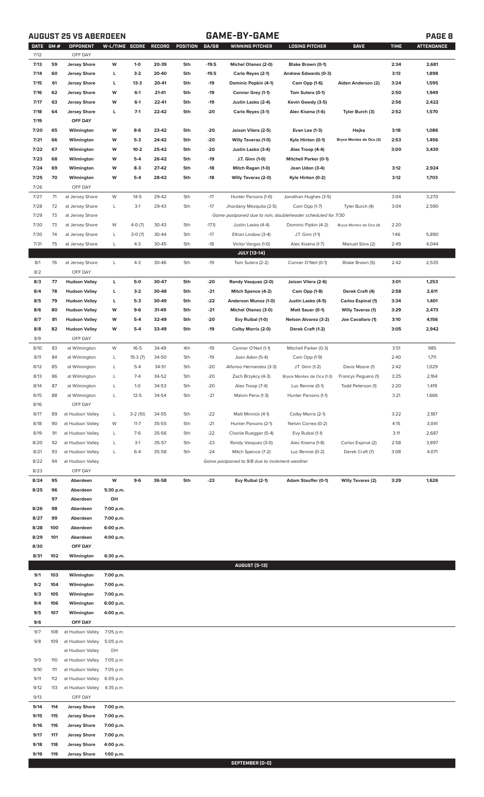# **AUGUST 25 VS ABERDEEN GAME-BY-GAME PAGE 8**

|              | DATE GM#   | OPPONENT                                   | W-L/TIME SCORE         |           | RECORD | POSITION | GA/GB   | <b>WINNING PITCHER</b>                                      | <b>LOSING PITCHER</b>        | <b>SAVE</b>               | <b>TIME</b> | <b>ATTENDANCE</b> |
|--------------|------------|--------------------------------------------|------------------------|-----------|--------|----------|---------|-------------------------------------------------------------|------------------------------|---------------------------|-------------|-------------------|
| 7/12         |            | OFF DAY                                    |                        |           |        |          |         |                                                             |                              |                           |             |                   |
| 7/13         | 59         | <b>Jersey Shore</b>                        | W                      | $1-0$     | 20-39  | 5th      | $-19.5$ | Michel Otanez (2-0)                                         | Blake Brown (0-1)            |                           | 2:34        | 2,681             |
| 7/14         | 60         | <b>Jersey Shore</b>                        | L                      | $3-2$     | 20-40  | 5th      | $-19.5$ | Carlo Reyes (2-1)                                           | Andrew Edwards (0-3)         |                           | 3:13        | 1,898             |
| 7/15         | 61         | <b>Jersey Shore</b>                        | г                      | $13-3$    | 20-41  | 5th      | -19     | Dominic Popkin (4-1)                                        | Cam Opp (1-6)                | Aiden Anderson (2)        | 3:24        | 1,595             |
| 7/16         | 62         | <b>Jersey Shore</b>                        | W                      | $6-1$     | 21-41  | 5th      | -19     | Connor Grey (1-1)                                           | Tom Sutera (0-1)             |                           | 2:50        | 1,949             |
| 7/17         | 63         | <b>Jersey Shore</b>                        | W                      | $6-1$     | 22-41  | 5th      | -19     | Justin Lasko (2-4)                                          | Kevin Gowdy (3-5)            |                           | 2:56        | 2,422             |
| 7/18         | 64         | <b>Jersey Shore</b>                        | г                      | $7-1$     | 22-42  | 5th      | $-20$   | Carlo Reyes (3-1)                                           | Alec Kisena (1-6)            | Tyler Burch (3)           | 2:52        | 1,570             |
| 7/19         |            | OFF DAY                                    |                        |           |        |          |         |                                                             |                              |                           |             |                   |
| 7/20         | 65         | Wilmington                                 | W                      | $8-6$     | 23-42  | 5th      | -20     | Jaison Vilera (2-5)                                         | <b>Evan Lee (1-3)</b>        | Hejka                     | 3:18        | 1,086             |
| 7/21         | 66         | Wilmington                                 | W                      | $5-3$     | 24-42  | 5th      | -20     | Willy Taveras (1-0)                                         | Kyle Hinton (0-1)            | Bryce Montes de Oca (3)   | 2:53        | 1,456             |
| 7/22         | 67         | Wilmington                                 | W                      | $10 - 2$  | 25-42  | 5th      | -20     | Justin Lasko (3-4)                                          | Alex Troop (4-4)             |                           | 3:00        | 3,430             |
| 7/23         | 68         | Wilmington                                 | W                      | $5-4$     | 26-42  | 5th      | $-19$   | J.T. Ginn (1-0)                                             | <b>Mitchell Parker (0-1)</b> |                           |             |                   |
|              |            |                                            |                        |           |        |          |         |                                                             |                              |                           |             |                   |
| 7/24         | 69         | Wilmington                                 | W                      | $8-3$     | 27-42  | 5th      | $-18$   | Mitch Ragan (1-0)                                           | Joan Udon (3-4)              |                           | 3:12        | 2,924             |
| 7/25         | 70         | Wilmington                                 | W                      | $5-4$     | 28-42  | 5th      | $-18$   | <b>Willy Taveras (2-0)</b>                                  | Kyle Hinton (0-2)            |                           | 3:12        | 1,703             |
| 7/26         |            | OFF DAY                                    |                        |           |        |          |         |                                                             |                              |                           |             |                   |
| 7/27         | 71         | at Jersey Shore                            | W                      | $14 - 5$  | 29-42  | 5th      | $-17$   | Hunter Parsons (1-0)                                        | Jonathan Hughes (3-5)        |                           | 3:04        | 3,270             |
| 7/28         | 72         | at Jersey Shore                            | L                      | $3-1$     | 29-43  | 5th      | $-17$   | Jhordany Mezquita (2-5)                                     | Cam Opp (1-7)                | Tyler Burch (4)           | 3:04        | 2,590             |
| 7/29         | 73         | at Jersey Shore                            |                        |           |        |          |         | Game postponed due to rain, doubleheader scheduled for 7/30 |                              |                           |             |                   |
| 7/30         | 73         | at Jersey Shore                            | W                      | $4-0(7)$  | 30-43  | 5th      | $-17.5$ | Justin Lasko (4-4)                                          | Dominic Pipkin (4-2)         | Bryce Montes de Oca (4)   | 2:20        |                   |
| 7/30         | 74         | at Jersey Shore                            | L                      | $3-0(7)$  | 30-44  | 5th      | $-17$   | Ethan Lindow (3-4)                                          | J.T. Ginn (1-1)              |                           | 1:46        | 5,890             |
| 7/31         | 75         | at Jersey Shore                            | L                      | $4 - 3$   | 30-45  | 5th      | $-18$   | Victor Vargas (1-0)                                         | Alec Kisena (1-7)            | Manuel Silva (2)          | 2:49        | 4,044             |
|              |            |                                            |                        |           |        |          |         | <b>JULY [13-14]</b>                                         |                              |                           |             |                   |
| 8/1          | 76         | at Jersey Shore                            | L                      | $4 - 3$   | 30-46  | 5th      | $-19$   | Tom Sutera (2-2)                                            | Conner O'Neil (0-1)          | Blake Brown (5)           | 2:42        | 2,535             |
| 8/2          |            | OFF DAY                                    |                        |           |        |          |         |                                                             |                              |                           |             |                   |
| 8/3          | 77         | <b>Hudson Valley</b>                       | г                      | 5-0       | 30-47  | 5th      | -20     | Randy Vasquez (2-0)                                         | Jaison Vilera (2-6)          |                           | 3:01        | 1,253             |
| 8/4          | 78         | <b>Hudson Valley</b>                       | г                      | $3-2$     | 30-48  | 5th      | $-21$   | Mitch Spence (4-2)                                          | <b>Cam Opp (1-8)</b>         | Derek Craft (4)           | 2:58        | 2,611             |
|              |            |                                            |                        |           |        |          |         |                                                             |                              |                           |             |                   |
| 8/5          | 79         | <b>Hudson Valley</b>                       | г                      | $5-3$     | 30-49  | 5th      | -22     | Anderson Munoz (1-0)                                        | Justin Lasko (4-5)           | <b>Carlos Espinal (1)</b> | 3:34        | 1,401             |
| 8/6          | 80         | <b>Hudson Valley</b>                       | W                      | $9-6$     | 31-49  | 5th      | $-21$   | <b>Michel Otanez (3-0)</b>                                  | Matt Sauer (0-1)             | <b>Willy Taveras (1)</b>  | 3:29        | 2,473             |
| 8/7          | 81         | <b>Hudson Valley</b>                       | W                      | $5-4$     | 32-49  | 5th      | -20     | Evy Ruibal (1-0)                                            | <b>Nelson Alvarez (3-2)</b>  | Joe Cavallaro (1)         | 3:10        | 4,156             |
| 8/8          | 82         | <b>Hudson Valley</b>                       | W                      | $5-4$     | 33-49  | 5th      | $-19$   | Colby Morris (2-0)                                          | Derek Craft (1-2)            |                           | 3:05        | 2,942             |
| 8/9          |            | OFF DAY                                    |                        |           |        |          |         |                                                             |                              |                           |             |                   |
| 8/10         | 83         | at Wilmington                              | W                      | $16 - 5$  | 34-49  | 4th      | $-19$   | Conner O'Neil (1-1)                                         | Mitchell Parker (0-3)        |                           | 3:51        | 985               |
| 8/11         | 84         | at Wilmington                              | L                      | $15-3(7)$ | 34-50  | 5th      | $-19$   | Joan Adon (5-4)                                             | Cam Opp (1-9)                |                           | 2:40        | 1,711             |
| 8/12         | 85         | at Wilmington                              | L                      | $5 - 4$   | 34-51  | 5th      | $-20$   | Alfonso Hernandez (3-3)                                     | J.T. Ginn (1-2)              | Davis Moore (1)           | 2:42        | 1,029             |
| 8/13         | 86         | at Wilmington                              | L                      | $7-4$     | 34-52  | 5th      | $-20$   | Zach Brzykcy (4-3)                                          | Bryce Montes de Oca (1-3)    | Francys Peguero (1)       | 3:25        | 2,164             |
| 8/14         | 87         | at Wilmington                              | L                      | $1 - 0$   | 34-53  | 5th      | $-20$   | Alex Troop (7-4)                                            | Luc Rennie (0-1)             | Todd Peterson (1)         | 2:20        | 1,419             |
| 8/15         | 88         | at Wilmington                              | L                      | $12 - 5$  | 34-54  | 5th      | $-21$   | Malvin Pena (1-3)                                           | Hunter Parsons (1-1)         |                           | 3:21        | 1,666             |
| 8/16         |            | OFF DAY                                    |                        |           |        |          |         |                                                             |                              |                           |             |                   |
| 8/17         | 89         | at Hudson Valley                           | L                      | $3-2(10)$ | 34-55  | 5th      | $-22$   | Matt Minnick (4-1)                                          | Colby Morris (2-1)           |                           | 3:22        | 2,187             |
| 8/18         | 90         | at Hudson Valley                           | W                      | $11 - 7$  | 35-55  | 5th      | $-21$   | Hunter Parsons (2-1)                                        | Nelvin Correa (0-2)          |                           | 4:15        | 3,041             |
| 8/19         | 91         | at Hudson Valley                           | L                      | $7-6$     | 35-56  | 5th      | $-22$   | Charlie Ruegger (5-4)                                       | Evy Ruibal (1-1)             |                           | 3:11        | 2,687             |
| 8/20         | 92         | at Hudson Valley                           | L                      | $3-1$     | 35-57  | 5th      | $-23$   | Randy Vasquez (3-0)                                         | Alec Kisena (1-8)            | Carlos Espinal (2)        | 2:58        | 3,897             |
|              |            |                                            |                        |           |        |          |         |                                                             |                              |                           |             |                   |
| 8/21         | 93         | at Hudson Valley                           | L                      | $6 - 4$   | 35-58  | 5th      | $-24$   | Mitch Spence (7-2)                                          | Luc Rennie (0-2)             | Derek Craft (7)           | 3:08        | 4,071             |
| 8/22         | 94         | at Hudson Valley                           |                        |           |        |          |         | Game postponed to 9/8 due to inclement weather              |                              |                           |             |                   |
| 8/23         |            | OFF DAY                                    |                        |           |        |          |         |                                                             |                              |                           |             |                   |
| 8/24         | 95         | Aberdeen                                   | W                      | $9-6$     | 36-58  | 5th      | $-23$   | Evy Ruibal (2-1)                                            | Adam Stauffer (0-1)          | <b>Willy Tavares (2)</b>  | 3:29        | 1,626             |
| 8/25         | 96         | Aberdeen                                   | 5:30 p.m.              |           |        |          |         |                                                             |                              |                           |             |                   |
|              | 97         | Aberdeen                                   | DH                     |           |        |          |         |                                                             |                              |                           |             |                   |
| 8/26         | 98         | Aberdeen                                   | 7:00 p.m.              |           |        |          |         |                                                             |                              |                           |             |                   |
| 8/27         | 99         | Aberdeen                                   | 7:00 p.m.              |           |        |          |         |                                                             |                              |                           |             |                   |
| 8/28         | 100        | Aberdeen                                   | 6:00 p.m.              |           |        |          |         |                                                             |                              |                           |             |                   |
| 8/29         | 101        | Aberdeen                                   | 4:00 p.m.              |           |        |          |         |                                                             |                              |                           |             |                   |
| 8/30         |            | OFF DAY                                    |                        |           |        |          |         |                                                             |                              |                           |             |                   |
| 8/31         | 102        | Wilmington                                 | 6:30 p.m.              |           |        |          |         |                                                             |                              |                           |             |                   |
|              |            |                                            |                        |           |        |          |         | <b>AUGUST [5-13]</b>                                        |                              |                           |             |                   |
| 9/1          | 103        | Wilmington                                 | 7:00 p.m.              |           |        |          |         |                                                             |                              |                           |             |                   |
| 9/2          | 104        | Wilmington                                 | 7:00 p.m.              |           |        |          |         |                                                             |                              |                           |             |                   |
| 9/3          | 105        | Wilmington                                 | 7:00 p.m.              |           |        |          |         |                                                             |                              |                           |             |                   |
|              |            |                                            |                        |           |        |          |         |                                                             |                              |                           |             |                   |
| 9/4          | 106        | Wilmington                                 | 6:00 p.m.              |           |        |          |         |                                                             |                              |                           |             |                   |
| 9/5          | 107        | Wilmington                                 | 4:00 p.m.              |           |        |          |         |                                                             |                              |                           |             |                   |
| 9/6          |            | OFF DAY                                    |                        |           |        |          |         |                                                             |                              |                           |             |                   |
| 9/7          | 108        | at Hudson Valley                           | 7:05 p.m.              |           |        |          |         |                                                             |                              |                           |             |                   |
| 9/8          | 109        | at Hudson Valley                           | 5:05 p.m.              |           |        |          |         |                                                             |                              |                           |             |                   |
|              |            | at Hudson Valley                           | DH                     |           |        |          |         |                                                             |                              |                           |             |                   |
| 9/9          | 110        | at Hudson Valley                           | 7:05 p.m.              |           |        |          |         |                                                             |                              |                           |             |                   |
| 9/10         | 111        | at Hudson Valley                           | 7:05 p.m.              |           |        |          |         |                                                             |                              |                           |             |                   |
| 9/11         | 112        | at Hudson Valley                           | 6:05 p.m.              |           |        |          |         |                                                             |                              |                           |             |                   |
| 9/12         | 113        | at Hudson Valley                           | 4:35 p.m.              |           |        |          |         |                                                             |                              |                           |             |                   |
| 9/13         |            | OFF DAY                                    |                        |           |        |          |         |                                                             |                              |                           |             |                   |
| 9/14         | 114        | <b>Jersey Shore</b>                        | 7:00 p.m.              |           |        |          |         |                                                             |                              |                           |             |                   |
| 9/15         | 115        | <b>Jersey Shore</b>                        | 7:00 p.m.              |           |        |          |         |                                                             |                              |                           |             |                   |
| 9/16         |            |                                            |                        |           |        |          |         |                                                             |                              |                           |             |                   |
|              | 116        | <b>Jersey Shore</b>                        | 7:00 p.m.              |           |        |          |         |                                                             |                              |                           |             |                   |
|              |            |                                            |                        |           |        |          |         |                                                             |                              |                           |             |                   |
| 9/17         | 117        | <b>Jersey Shore</b>                        | 7:00 p.m.              |           |        |          |         |                                                             |                              |                           |             |                   |
| 9/18<br>9/19 | 118<br>119 | <b>Jersey Shore</b><br><b>Jersey Shore</b> | 4:00 p.m.<br>1:00 p.m. |           |        |          |         |                                                             |                              |                           |             |                   |

**SEPTEMBER (0-0)**